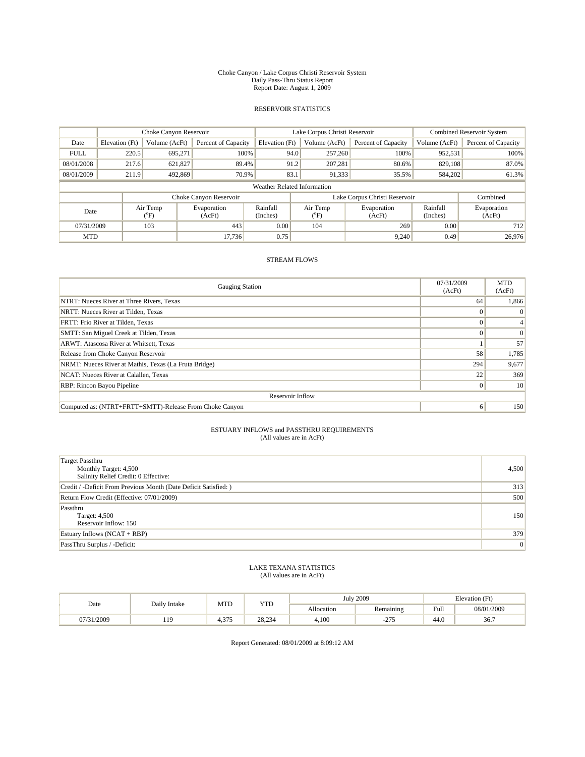#### Choke Canyon / Lake Corpus Christi Reservoir System Daily Pass-Thru Status Report Report Date: August 1, 2009

## RESERVOIR STATISTICS

|                             | Choke Canyon Reservoir |                 |                        |                      | Lake Corpus Christi Reservoir | Combined Reservoir System     |                      |                       |
|-----------------------------|------------------------|-----------------|------------------------|----------------------|-------------------------------|-------------------------------|----------------------|-----------------------|
| Date                        | Elevation (Ft)         | Volume (AcFt)   | Percent of Capacity    | Elevation (Ft)       | Volume (AcFt)                 | Percent of Capacity           | Volume (AcFt)        | Percent of Capacity   |
| <b>FULL</b>                 | 220.5                  | 695.271         | 100%                   | 94.0                 | 257,260                       | 100%                          | 952,531              | 100%                  |
| 08/01/2008                  | 217.6                  | 621,827         | 89.4%                  | 91.2                 | 207,281                       | 80.6%                         | 829,108              | 87.0%                 |
| 08/01/2009                  | 211.9                  | 492,869         | 70.9%                  | 83.1                 | 91,333                        | 35.5%                         | 584,202              | 61.3%                 |
| Weather Related Information |                        |                 |                        |                      |                               |                               |                      |                       |
|                             |                        |                 | Choke Canyon Reservoir |                      |                               | Lake Corpus Christi Reservoir |                      | Combined              |
| Date                        |                        | Air Temp<br>°F) | Evaporation<br>(AcFt)  | Rainfall<br>(Inches) | Air Temp<br>°F)               | Evaporation<br>(AcFt)         | Rainfall<br>(Inches) | Evaporation<br>(AcFt) |
| 07/31/2009                  |                        | 103             | 443                    | 0.00                 | 104                           | 269                           | 0.00                 | 712                   |
| <b>MTD</b>                  |                        |                 | 17.736                 | 0.75                 |                               | 9,240                         | 0.49                 | 26,976                |

## STREAM FLOWS

| <b>Gauging Station</b>                                  | 07/31/2009<br>(AcFt) | <b>MTD</b><br>(AcFt) |  |  |  |  |  |
|---------------------------------------------------------|----------------------|----------------------|--|--|--|--|--|
| NTRT: Nueces River at Three Rivers, Texas               | 64                   | 1,866                |  |  |  |  |  |
| NRTT: Nueces River at Tilden, Texas                     |                      | $\Omega$             |  |  |  |  |  |
| FRTT: Frio River at Tilden, Texas                       |                      |                      |  |  |  |  |  |
| SMTT: San Miguel Creek at Tilden, Texas                 | $\Omega$             | $\Omega$             |  |  |  |  |  |
| ARWT: Atascosa River at Whitsett, Texas                 |                      | 57                   |  |  |  |  |  |
| Release from Choke Canyon Reservoir                     | 58                   | 1,785                |  |  |  |  |  |
| NRMT: Nueces River at Mathis, Texas (La Fruta Bridge)   | 294                  | 9,677                |  |  |  |  |  |
| NCAT: Nueces River at Calallen, Texas                   | 22                   | 369                  |  |  |  |  |  |
| RBP: Rincon Bayou Pipeline                              | $\Omega$             | 10                   |  |  |  |  |  |
| Reservoir Inflow                                        |                      |                      |  |  |  |  |  |
| Computed as: (NTRT+FRTT+SMTT)-Release From Choke Canyon | 6                    | 150                  |  |  |  |  |  |

#### ESTUARY INFLOWS and PASSTHRU REQUIREMENTS (All values are in AcFt)

| Target Passthru<br>Monthly Target: 4,500<br>Salinity Relief Credit: 0 Effective: | 4,500           |
|----------------------------------------------------------------------------------|-----------------|
| Credit / -Deficit From Previous Month (Date Deficit Satisfied: )                 | 313             |
| Return Flow Credit (Effective: 07/01/2009)                                       | 500             |
| Passthru<br>Target: 4,500<br>Reservoir Inflow: 150                               | 150             |
| Estuary Inflows $(NCAT + RBP)$                                                   | 379             |
| PassThru Surplus / -Deficit:                                                     | $\vert 0 \vert$ |

#### LAKE TEXANA STATISTICS (All values are in AcFt)

| Date       | Daily Intake | MTD            | <b>YTD</b> |            | <b>July 2009</b>      | Elevation (Ft)                          |            |  |
|------------|--------------|----------------|------------|------------|-----------------------|-----------------------------------------|------------|--|
|            |              |                |            | Allocation | Remaining             | Full<br>the contract of the contract of | 08/01/2009 |  |
| 07/31/2009 | 11Q<br>---   | 375<br>- ت 1 - | 28,234     | 4.100      | $\sim$ $\sim$<br>-41- | 44.0                                    | 36.7       |  |

Report Generated: 08/01/2009 at 8:09:12 AM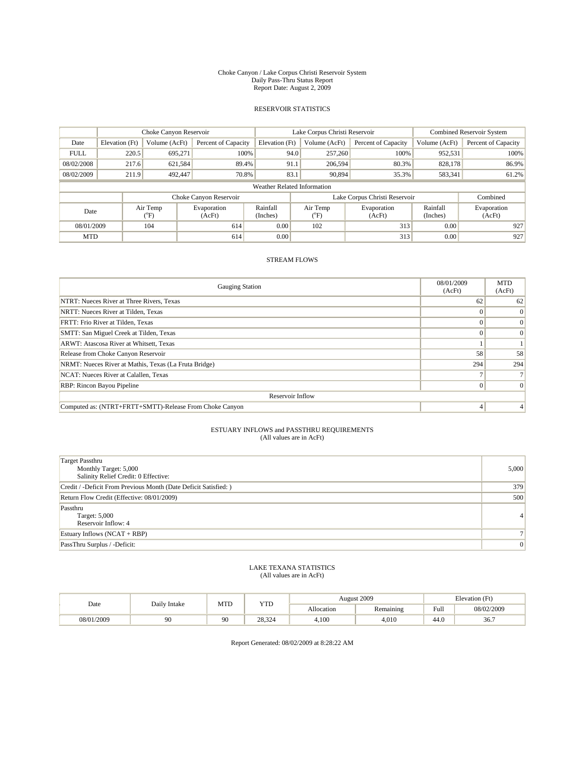#### Choke Canyon / Lake Corpus Christi Reservoir System Daily Pass-Thru Status Report Report Date: August 2, 2009

## RESERVOIR STATISTICS

|                             | Choke Canyon Reservoir |                  |                        |                      | Lake Corpus Christi Reservoir | <b>Combined Reservoir System</b> |                      |                       |
|-----------------------------|------------------------|------------------|------------------------|----------------------|-------------------------------|----------------------------------|----------------------|-----------------------|
| Date                        | Elevation (Ft)         | Volume (AcFt)    | Percent of Capacity    | Elevation (Ft)       | Volume (AcFt)                 | Percent of Capacity              | Volume (AcFt)        | Percent of Capacity   |
| <b>FULL</b>                 | 220.5                  | 695,271          | 100%                   | 94.0                 | 257,260                       | 100%                             | 952,531              | 100%                  |
| 08/02/2008                  | 217.6                  | 621,584          | 89.4%                  | 91.1                 | 206,594                       | 80.3%                            | 828,178              | 86.9%                 |
| 08/02/2009                  | 211.9                  | 492,447          | 70.8%                  | 83.1                 | 90.894                        | 35.3%                            | 583,341              | 61.2%                 |
| Weather Related Information |                        |                  |                        |                      |                               |                                  |                      |                       |
|                             |                        |                  | Choke Canyon Reservoir |                      |                               | Lake Corpus Christi Reservoir    |                      | Combined              |
| Date                        |                        | Air Temp<br>(°F) | Evaporation<br>(AcFt)  | Rainfall<br>(Inches) | Air Temp<br>ຶF.               | Evaporation<br>(AcFt)            | Rainfall<br>(Inches) | Evaporation<br>(AcFt) |
| 08/01/2009                  |                        | 104              | 614                    | 0.00                 | 102                           | 313                              | 0.00                 | 927                   |
| <b>MTD</b>                  |                        |                  | 614                    | 0.00                 |                               | 313                              | 0.00                 | 927                   |

## STREAM FLOWS

| <b>Gauging Station</b>                                  | 08/01/2009<br>(AcFt) | <b>MTD</b><br>(AcFt) |  |  |  |  |  |
|---------------------------------------------------------|----------------------|----------------------|--|--|--|--|--|
| NTRT: Nueces River at Three Rivers, Texas               | 62                   | 62                   |  |  |  |  |  |
| NRTT: Nueces River at Tilden, Texas                     |                      | $\vert 0 \vert$      |  |  |  |  |  |
| FRTT: Frio River at Tilden, Texas                       |                      | $\left 0\right $     |  |  |  |  |  |
| SMTT: San Miguel Creek at Tilden, Texas                 |                      | $\Omega$             |  |  |  |  |  |
| ARWT: Atascosa River at Whitsett, Texas                 |                      |                      |  |  |  |  |  |
| Release from Choke Canyon Reservoir                     | 58                   | 58                   |  |  |  |  |  |
| NRMT: Nueces River at Mathis, Texas (La Fruta Bridge)   | 294                  | 294                  |  |  |  |  |  |
| NCAT: Nueces River at Calallen, Texas                   |                      |                      |  |  |  |  |  |
| RBP: Rincon Bayou Pipeline                              |                      | $\Omega$             |  |  |  |  |  |
| Reservoir Inflow                                        |                      |                      |  |  |  |  |  |
| Computed as: (NTRT+FRTT+SMTT)-Release From Choke Canyon | 4                    |                      |  |  |  |  |  |

#### ESTUARY INFLOWS and PASSTHRU REQUIREMENTS (All values are in AcFt)

| <b>Target Passthru</b><br>Monthly Target: 5,000<br>Salinity Relief Credit: 0 Effective: | 5,000          |
|-----------------------------------------------------------------------------------------|----------------|
| Credit / -Deficit From Previous Month (Date Deficit Satisfied: )                        | 379            |
| Return Flow Credit (Effective: 08/01/2009)                                              | 500            |
| Passthru<br>Target: 5,000<br>Reservoir Inflow: 4                                        | $\overline{4}$ |
| Estuary Inflows $(NCAT + RBP)$                                                          |                |
| PassThru Surplus / -Deficit:                                                            | $\overline{0}$ |

#### LAKE TEXANA STATISTICS (All values are in AcFt)

| Date       | Daily Intake | MTD | YTD    |            | August 2009 | Elevation (Ft)                          |            |
|------------|--------------|-----|--------|------------|-------------|-----------------------------------------|------------|
|            |              |     |        | Allocation | Remaining   | Full<br>the contract of the contract of | 08/02/2009 |
| 08/01/2009 | 90           | 90  | 28,324 | 4.100      | 4,010       | 44.0                                    | 36.7       |

Report Generated: 08/02/2009 at 8:28:22 AM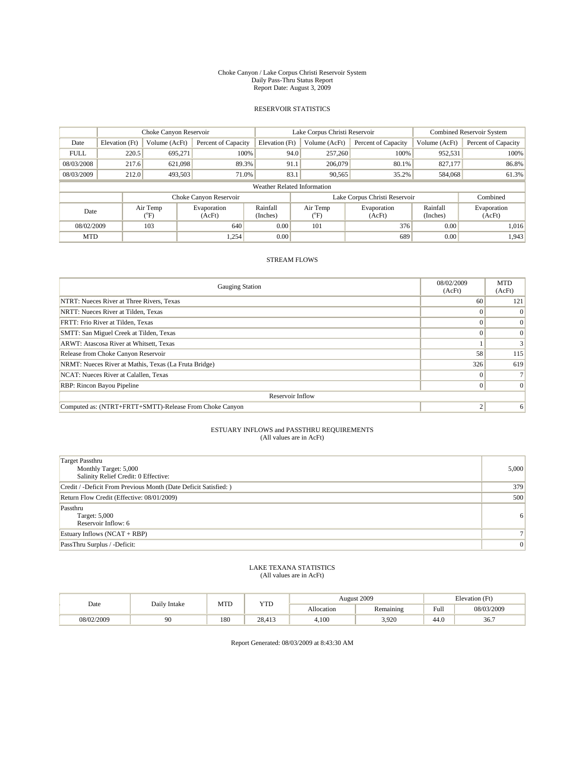#### Choke Canyon / Lake Corpus Christi Reservoir System Daily Pass-Thru Status Report Report Date: August 3, 2009

## RESERVOIR STATISTICS

|                             | Choke Canyon Reservoir |                 |                        |                      | Lake Corpus Christi Reservoir | Combined Reservoir System     |                      |                       |
|-----------------------------|------------------------|-----------------|------------------------|----------------------|-------------------------------|-------------------------------|----------------------|-----------------------|
| Date                        | Elevation (Ft)         | Volume (AcFt)   | Percent of Capacity    | Elevation (Ft)       | Volume (AcFt)                 | Percent of Capacity           | Volume (AcFt)        | Percent of Capacity   |
| <b>FULL</b>                 | 220.5                  | 695.271         | 100%                   | 94.0                 | 257,260                       | 100%                          | 952,531              | 100%                  |
| 08/03/2008                  | 217.6                  | 621.098         | 89.3%                  | 91.1                 | 206,079                       | 80.1%                         | 827,177              | 86.8%                 |
| 08/03/2009                  | 212.0                  | 493,503         | 71.0%                  | 83.1                 | 90.565                        | 35.2%                         | 584,068              | 61.3%                 |
| Weather Related Information |                        |                 |                        |                      |                               |                               |                      |                       |
|                             |                        |                 | Choke Canyon Reservoir |                      |                               | Lake Corpus Christi Reservoir |                      | Combined              |
| Date                        |                        | Air Temp<br>°F) | Evaporation<br>(AcFt)  | Rainfall<br>(Inches) | Air Temp<br>°F)               | Evaporation<br>(AcFt)         | Rainfall<br>(Inches) | Evaporation<br>(AcFt) |
| 103<br>08/02/2009           |                        |                 | 640                    | 0.00                 | 101                           | 376                           | 0.00                 | 1.016                 |
| <b>MTD</b>                  |                        |                 | 1,254                  | 0.00                 |                               | 689                           | 0.00                 | 1,943                 |

## STREAM FLOWS

| <b>Gauging Station</b>                                  | 08/02/2009<br>(AcFt) | <b>MTD</b><br>(AcFt) |  |  |  |  |
|---------------------------------------------------------|----------------------|----------------------|--|--|--|--|
| NTRT: Nueces River at Three Rivers, Texas               | 60                   | 121                  |  |  |  |  |
| NRTT: Nueces River at Tilden, Texas                     |                      | $\Omega$             |  |  |  |  |
| FRTT: Frio River at Tilden, Texas                       |                      | $\Omega$             |  |  |  |  |
| SMTT: San Miguel Creek at Tilden, Texas                 |                      | $\Omega$             |  |  |  |  |
| ARWT: Atascosa River at Whitsett, Texas                 |                      | 3 <sub>1</sub>       |  |  |  |  |
| Release from Choke Canyon Reservoir                     | 58                   | 115                  |  |  |  |  |
| NRMT: Nueces River at Mathis, Texas (La Fruta Bridge)   | 326                  | 619                  |  |  |  |  |
| NCAT: Nueces River at Calallen, Texas                   |                      |                      |  |  |  |  |
| RBP: Rincon Bayou Pipeline                              |                      | $\Omega$             |  |  |  |  |
| Reservoir Inflow                                        |                      |                      |  |  |  |  |
| Computed as: (NTRT+FRTT+SMTT)-Release From Choke Canyon | $\overline{2}$       | 6                    |  |  |  |  |

#### ESTUARY INFLOWS and PASSTHRU REQUIREMENTS (All values are in AcFt)

| <b>Target Passthru</b><br>Monthly Target: 5,000<br>Salinity Relief Credit: 0 Effective: | 5,000          |
|-----------------------------------------------------------------------------------------|----------------|
| Credit / -Deficit From Previous Month (Date Deficit Satisfied: )                        | 379            |
| Return Flow Credit (Effective: 08/01/2009)                                              | 500            |
| Passthru<br>Target: 5,000<br>Reservoir Inflow: 6                                        | 6              |
| Estuary Inflows $(NCAT + RBP)$                                                          |                |
| PassThru Surplus / -Deficit:                                                            | $\overline{0}$ |

#### LAKE TEXANA STATISTICS (All values are in AcFt)

| Date       | Daily Intake | MTD | YTD    |            | August 2009 | Elevation (Ft)                          |            |
|------------|--------------|-----|--------|------------|-------------|-----------------------------------------|------------|
|            |              |     |        | Allocation | Remaining   | Full<br>the contract of the contract of | 08/03/2009 |
| 08/02/2009 | 90           | 180 | 28.413 | 4.100      | 3,920       | 44.0                                    | 36.7       |

Report Generated: 08/03/2009 at 8:43:30 AM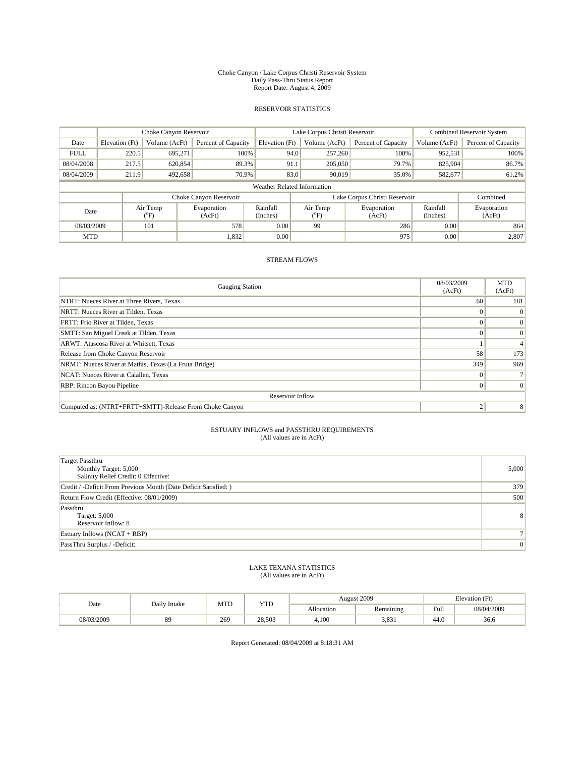#### Choke Canyon / Lake Corpus Christi Reservoir System Daily Pass-Thru Status Report Report Date: August 4, 2009

## RESERVOIR STATISTICS

|                             | Choke Canyon Reservoir |                  |                        |                      | Lake Corpus Christi Reservoir | <b>Combined Reservoir System</b> |                      |                       |  |
|-----------------------------|------------------------|------------------|------------------------|----------------------|-------------------------------|----------------------------------|----------------------|-----------------------|--|
| Date                        | Elevation (Ft)         | Volume (AcFt)    | Percent of Capacity    | Elevation (Ft)       | Volume (AcFt)                 | Percent of Capacity              | Volume (AcFt)        | Percent of Capacity   |  |
| <b>FULL</b>                 | 220.5                  | 695.271          | 100%                   | 94.0                 | 257,260                       | 100%                             | 952,531              | 100%                  |  |
| 08/04/2008                  | 217.5                  | 620,854          | 89.3%                  | 91.1                 | 205,050                       | 79.7%                            | 825,904              | 86.7%                 |  |
| 08/04/2009                  | 211.9                  | 492,658          | 70.9%                  | 83.0                 | 90.019                        | 35.0%                            | 582,677              | 61.2%                 |  |
| Weather Related Information |                        |                  |                        |                      |                               |                                  |                      |                       |  |
|                             |                        |                  | Choke Canyon Reservoir |                      |                               | Lake Corpus Christi Reservoir    |                      | Combined              |  |
| Date                        |                        | Air Temp<br>(°F) | Evaporation<br>(AcFt)  | Rainfall<br>(Inches) | Air Temp<br>ຶF.               | Evaporation<br>(AcFt)            | Rainfall<br>(Inches) | Evaporation<br>(AcFt) |  |
| 101<br>08/03/2009           |                        |                  | 578                    | 0.00                 | 99                            | 286                              | 0.00                 | 864                   |  |
| <b>MTD</b>                  |                        |                  | 1,832                  | 0.00                 |                               | 975                              | 0.00                 | 2,807                 |  |

## STREAM FLOWS

| <b>Gauging Station</b>                                  | 08/03/2009<br>(AcFt) | <b>MTD</b><br>(AcFt) |  |  |  |  |  |
|---------------------------------------------------------|----------------------|----------------------|--|--|--|--|--|
| NTRT: Nueces River at Three Rivers, Texas               | 60                   | 181                  |  |  |  |  |  |
| NRTT: Nueces River at Tilden, Texas                     |                      | $\Omega$             |  |  |  |  |  |
| FRTT: Frio River at Tilden, Texas                       |                      | $\vert 0 \vert$      |  |  |  |  |  |
| SMTT: San Miguel Creek at Tilden, Texas                 | $\theta$             | $\Omega$             |  |  |  |  |  |
| ARWT: Atascosa River at Whitsett, Texas                 |                      |                      |  |  |  |  |  |
| Release from Choke Canyon Reservoir                     | 58                   | 173                  |  |  |  |  |  |
| NRMT: Nueces River at Mathis, Texas (La Fruta Bridge)   | 349                  | 969                  |  |  |  |  |  |
| NCAT: Nueces River at Calallen, Texas                   |                      |                      |  |  |  |  |  |
| <b>RBP:</b> Rincon Bayou Pipeline                       | $\Omega$             | $\Omega$             |  |  |  |  |  |
| Reservoir Inflow                                        |                      |                      |  |  |  |  |  |
| Computed as: (NTRT+FRTT+SMTT)-Release From Choke Canyon | $\overline{2}$       | 8                    |  |  |  |  |  |

#### ESTUARY INFLOWS and PASSTHRU REQUIREMENTS (All values are in AcFt)

| <b>Target Passthru</b><br>Monthly Target: 5,000<br>Salinity Relief Credit: 0 Effective: | 5,000          |
|-----------------------------------------------------------------------------------------|----------------|
| Credit / -Deficit From Previous Month (Date Deficit Satisfied: )                        | 379            |
| Return Flow Credit (Effective: 08/01/2009)                                              | 500            |
| Passthru<br>Target: 5,000<br>Reservoir Inflow: 8                                        | 8 <sup>1</sup> |
| Estuary Inflows $(NCAT + RBP)$                                                          |                |
| PassThru Surplus / -Deficit:                                                            | $\overline{0}$ |

#### LAKE TEXANA STATISTICS (All values are in AcFt)

| Date       | Daily Intake | MTD | <b>YTD</b> |            | August 2009 | Elevation (Ft)                          |            |
|------------|--------------|-----|------------|------------|-------------|-----------------------------------------|------------|
|            |              |     |            | Allocation | Remaining   | Full<br>the contract of the contract of | 08/04/2009 |
| 08/03/2009 | 89           | 269 | 28.503     | 4,100      | 3,831       | 44.0                                    | 36.6       |

Report Generated: 08/04/2009 at 8:18:31 AM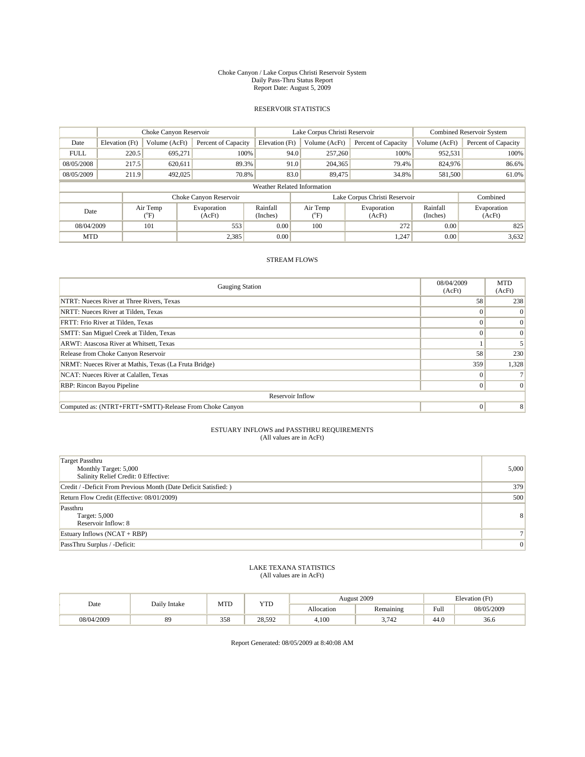#### Choke Canyon / Lake Corpus Christi Reservoir System Daily Pass-Thru Status Report Report Date: August 5, 2009

## RESERVOIR STATISTICS

|                             | Choke Canyon Reservoir |                 |                        |                      | Lake Corpus Christi Reservoir | Combined Reservoir System     |                      |                       |  |
|-----------------------------|------------------------|-----------------|------------------------|----------------------|-------------------------------|-------------------------------|----------------------|-----------------------|--|
| Date                        | Elevation (Ft)         | Volume (AcFt)   | Percent of Capacity    | Elevation (Ft)       | Volume (AcFt)                 | Percent of Capacity           | Volume (AcFt)        | Percent of Capacity   |  |
| <b>FULL</b>                 | 220.5                  | 695.271         | 100%                   | 94.0                 | 257,260                       | 100%                          | 952,531              | 100%                  |  |
| 08/05/2008                  | 217.5                  | 620,611         | 89.3%                  | 91.0                 | 204,365                       | 79.4%                         | 824,976              | 86.6%                 |  |
| 08/05/2009                  | 211.9                  | 492,025         | 70.8%                  | 83.0                 | 89,475                        | 34.8%                         | 581,500              | 61.0%                 |  |
| Weather Related Information |                        |                 |                        |                      |                               |                               |                      |                       |  |
|                             |                        |                 | Choke Canyon Reservoir |                      |                               | Lake Corpus Christi Reservoir |                      | Combined              |  |
| Date                        |                        | Air Temp<br>°F) | Evaporation<br>(AcFt)  | Rainfall<br>(Inches) | Air Temp<br>°F)               | Evaporation<br>(AcFt)         | Rainfall<br>(Inches) | Evaporation<br>(AcFt) |  |
| 08/04/2009                  |                        | 101             | 553                    | 0.00                 | 100                           | 272                           | 0.00                 | 825                   |  |
| <b>MTD</b>                  |                        |                 | 2,385                  | 0.00                 |                               | 1,247                         | 0.00                 | 3,632                 |  |

## STREAM FLOWS

| <b>Gauging Station</b>                                  | 08/04/2009<br>(AcFt) | <b>MTD</b><br>(AcFt) |  |  |  |  |  |
|---------------------------------------------------------|----------------------|----------------------|--|--|--|--|--|
| NTRT: Nueces River at Three Rivers, Texas               | 58                   | 238                  |  |  |  |  |  |
| NRTT: Nueces River at Tilden, Texas                     |                      | $\Omega$             |  |  |  |  |  |
| FRTT: Frio River at Tilden, Texas                       |                      | $\Omega$             |  |  |  |  |  |
| SMTT: San Miguel Creek at Tilden, Texas                 |                      | $\Omega$             |  |  |  |  |  |
| ARWT: Atascosa River at Whitsett, Texas                 |                      |                      |  |  |  |  |  |
| Release from Choke Canyon Reservoir                     | 58                   | 230                  |  |  |  |  |  |
| NRMT: Nueces River at Mathis, Texas (La Fruta Bridge)   | 359                  | 1,328                |  |  |  |  |  |
| NCAT: Nueces River at Calallen, Texas                   |                      |                      |  |  |  |  |  |
| RBP: Rincon Bayou Pipeline                              |                      | $\Omega$             |  |  |  |  |  |
| Reservoir Inflow                                        |                      |                      |  |  |  |  |  |
| Computed as: (NTRT+FRTT+SMTT)-Release From Choke Canyon | $\Omega$             | 8                    |  |  |  |  |  |

#### ESTUARY INFLOWS and PASSTHRU REQUIREMENTS (All values are in AcFt)

| <b>Target Passthru</b><br>Monthly Target: 5,000<br>Salinity Relief Credit: 0 Effective: | 5,000          |
|-----------------------------------------------------------------------------------------|----------------|
| Credit / -Deficit From Previous Month (Date Deficit Satisfied: )                        | 379            |
| Return Flow Credit (Effective: 08/01/2009)                                              | 500            |
| Passthru<br>Target: 5,000<br>Reservoir Inflow: 8                                        | 8 <sup>1</sup> |
| Estuary Inflows $(NCAT + RBP)$                                                          |                |
| PassThru Surplus / -Deficit:                                                            | $\overline{0}$ |

#### LAKE TEXANA STATISTICS (All values are in AcFt)

| Date       | Daily Intake | MTD | <b>YTD</b> |            | August 2009   | Elevation (Ft)                          |            |
|------------|--------------|-----|------------|------------|---------------|-----------------------------------------|------------|
|            |              |     |            | Allocation | Remaining     | Full<br>the contract of the contract of | 08/05/2009 |
| 08/04/2009 | 89           | 358 | 28.592     | 4,100      | 2712<br>- 142 | 44.0                                    | 36.6       |

Report Generated: 08/05/2009 at 8:40:08 AM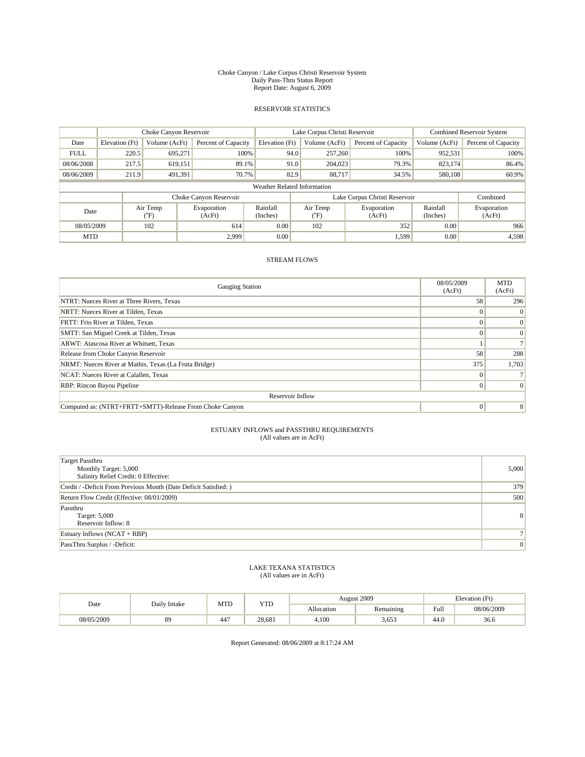#### Choke Canyon / Lake Corpus Christi Reservoir System Daily Pass-Thru Status Report Report Date: August 6, 2009

## RESERVOIR STATISTICS

|                             | Choke Canyon Reservoir |                                           |                        |                      | Lake Corpus Christi Reservoir | <b>Combined Reservoir System</b> |                      |                       |  |
|-----------------------------|------------------------|-------------------------------------------|------------------------|----------------------|-------------------------------|----------------------------------|----------------------|-----------------------|--|
| Date                        | Elevation (Ft)         | Volume (AcFt)                             | Percent of Capacity    | Elevation (Ft)       | Volume (AcFt)                 | Percent of Capacity              | Volume (AcFt)        | Percent of Capacity   |  |
| <b>FULL</b>                 | 220.5                  | 695.271                                   | 100%                   | 94.0                 | 257,260                       | 100%                             | 952,531              | 100%                  |  |
| 08/06/2008                  | 217.5                  | 619,151                                   | 89.1%                  | 91.0                 | 204,023                       | 79.3%                            | 823.174              | 86.4%                 |  |
| 08/06/2009                  | 211.9                  | 491,391                                   | 70.7%                  | 82.9                 | 88.717                        | 34.5%                            | 580,108              | 60.9%                 |  |
| Weather Related Information |                        |                                           |                        |                      |                               |                                  |                      |                       |  |
|                             |                        |                                           | Choke Canyon Reservoir |                      |                               | Lake Corpus Christi Reservoir    |                      | Combined              |  |
| Date                        |                        | Air Temp<br>Evaporation<br>(°F)<br>(AcFt) |                        | Rainfall<br>(Inches) | Air Temp<br>ຶF.               | Evaporation<br>(AcFt)            | Rainfall<br>(Inches) | Evaporation<br>(AcFt) |  |
| 102<br>08/05/2009           |                        |                                           | 614                    | 0.00                 | 102                           | 352                              | 0.00                 | 966                   |  |
| <b>MTD</b>                  |                        |                                           | 2.999                  | 0.00                 |                               | 1,599                            | 0.00                 | 4,598                 |  |

## STREAM FLOWS

| <b>Gauging Station</b>                                  | 08/05/2009<br>(AcFt) | <b>MTD</b><br>(AcFt) |  |  |  |  |  |
|---------------------------------------------------------|----------------------|----------------------|--|--|--|--|--|
| NTRT: Nueces River at Three Rivers, Texas               | 58                   | 296                  |  |  |  |  |  |
| NRTT: Nueces River at Tilden, Texas                     |                      | $\Omega$             |  |  |  |  |  |
| FRTT: Frio River at Tilden, Texas                       |                      | $\Omega$             |  |  |  |  |  |
| SMTT: San Miguel Creek at Tilden, Texas                 |                      | $\Omega$             |  |  |  |  |  |
| ARWT: Atascosa River at Whitsett, Texas                 |                      |                      |  |  |  |  |  |
| Release from Choke Canyon Reservoir                     | 58                   | 288                  |  |  |  |  |  |
| NRMT: Nueces River at Mathis, Texas (La Fruta Bridge)   | 375                  | 1,703                |  |  |  |  |  |
| NCAT: Nueces River at Calallen, Texas                   |                      |                      |  |  |  |  |  |
| RBP: Rincon Bayou Pipeline                              |                      | $\Omega$             |  |  |  |  |  |
| Reservoir Inflow                                        |                      |                      |  |  |  |  |  |
| Computed as: (NTRT+FRTT+SMTT)-Release From Choke Canyon | $\Omega$             | 8                    |  |  |  |  |  |

#### ESTUARY INFLOWS and PASSTHRU REQUIREMENTS (All values are in AcFt)

| <b>Target Passthru</b><br>Monthly Target: 5,000<br>Salinity Relief Credit: 0 Effective: | 5,000          |
|-----------------------------------------------------------------------------------------|----------------|
| Credit / -Deficit From Previous Month (Date Deficit Satisfied: )                        | 379            |
| Return Flow Credit (Effective: 08/01/2009)                                              | 500            |
| Passthru<br>Target: 5,000<br>Reservoir Inflow: 8                                        | 8 <sup>1</sup> |
| Estuary Inflows $(NCAT + RBP)$                                                          |                |
| PassThru Surplus / -Deficit:                                                            | $\overline{0}$ |

#### LAKE TEXANA STATISTICS (All values are in AcFt)

| Date       | Daily Intake | MTD | YTD    |            | August 2009 | Elevation (Ft)                          |            |  |
|------------|--------------|-----|--------|------------|-------------|-----------------------------------------|------------|--|
|            |              |     |        | Allocation | Remaining   | Full<br>the contract of the contract of | 08/06/2009 |  |
| 08/05/2009 | 89           | 447 | 28.681 | 4.100      | 3,653       | 44.0                                    | 36.6       |  |

Report Generated: 08/06/2009 at 8:17:24 AM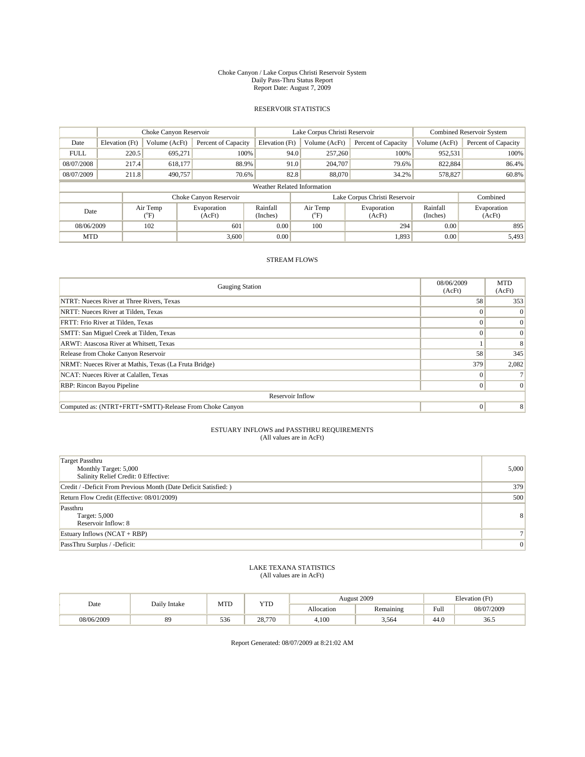#### Choke Canyon / Lake Corpus Christi Reservoir System Daily Pass-Thru Status Report Report Date: August 7, 2009

## RESERVOIR STATISTICS

|                             | Choke Canyon Reservoir |                 |                        |                      | Lake Corpus Christi Reservoir | Combined Reservoir System     |                      |                       |
|-----------------------------|------------------------|-----------------|------------------------|----------------------|-------------------------------|-------------------------------|----------------------|-----------------------|
| Date                        | Elevation (Ft)         | Volume (AcFt)   | Percent of Capacity    | Elevation (Ft)       | Volume (AcFt)                 | Percent of Capacity           | Volume (AcFt)        | Percent of Capacity   |
| <b>FULL</b>                 | 220.5                  | 695.271         | 100%                   | 94.0                 | 257,260                       | 100%                          | 952,531              | 100%                  |
| 08/07/2008                  | 217.4                  | 618.177         | 88.9%                  | 91.0                 | 204,707                       | 79.6%                         | 822.884              | 86.4%                 |
| 08/07/2009                  | 211.8                  | 490,757         | 70.6%                  | 82.8                 | 88,070                        | 34.2%                         | 578,827              | 60.8%                 |
| Weather Related Information |                        |                 |                        |                      |                               |                               |                      |                       |
|                             |                        |                 | Choke Canyon Reservoir |                      |                               | Lake Corpus Christi Reservoir |                      | Combined              |
| Date                        |                        | Air Temp<br>°F) | Evaporation<br>(AcFt)  | Rainfall<br>(Inches) | Air Temp<br>°F)               | Evaporation<br>(AcFt)         | Rainfall<br>(Inches) | Evaporation<br>(AcFt) |
| 08/06/2009                  |                        | 102             | 601                    | 0.00                 | 100                           | 294                           | 0.00                 | 895                   |
| <b>MTD</b>                  |                        |                 | 3,600                  | 0.00                 |                               | 1,893                         | 0.00                 | 5,493                 |

## STREAM FLOWS

| <b>Gauging Station</b>                                  | 08/06/2009<br>(AcFt) | <b>MTD</b><br>(AcFt) |  |  |  |  |  |
|---------------------------------------------------------|----------------------|----------------------|--|--|--|--|--|
| NTRT: Nueces River at Three Rivers, Texas               | 58                   | 353                  |  |  |  |  |  |
| NRTT: Nueces River at Tilden, Texas                     |                      | $\Omega$             |  |  |  |  |  |
| FRTT: Frio River at Tilden, Texas                       |                      | $\Omega$             |  |  |  |  |  |
| SMTT: San Miguel Creek at Tilden, Texas                 |                      | $\Omega$             |  |  |  |  |  |
| ARWT: Atascosa River at Whitsett, Texas                 |                      | 8                    |  |  |  |  |  |
| Release from Choke Canyon Reservoir                     | 58                   | 345                  |  |  |  |  |  |
| NRMT: Nueces River at Mathis, Texas (La Fruta Bridge)   | 379                  | 2,082                |  |  |  |  |  |
| NCAT: Nueces River at Calallen, Texas                   |                      |                      |  |  |  |  |  |
| RBP: Rincon Bayou Pipeline                              |                      | $\Omega$             |  |  |  |  |  |
| Reservoir Inflow                                        |                      |                      |  |  |  |  |  |
| Computed as: (NTRT+FRTT+SMTT)-Release From Choke Canyon | $\Omega$             | 8                    |  |  |  |  |  |

#### ESTUARY INFLOWS and PASSTHRU REQUIREMENTS (All values are in AcFt)

| <b>Target Passthru</b><br>Monthly Target: 5,000<br>Salinity Relief Credit: 0 Effective: | 5,000          |
|-----------------------------------------------------------------------------------------|----------------|
| Credit / -Deficit From Previous Month (Date Deficit Satisfied: )                        | 379            |
| Return Flow Credit (Effective: 08/01/2009)                                              | 500            |
| Passthru<br>Target: 5,000<br>Reservoir Inflow: 8                                        | 8 <sup>1</sup> |
| Estuary Inflows $(NCAT + RBP)$                                                          |                |
| PassThru Surplus / -Deficit:                                                            | $\overline{0}$ |

#### LAKE TEXANA STATISTICS (All values are in AcFt)

| Date       | Daily Intake | MTD | YTD    |            | August 2009 | Elevation (Ft)                              |            |  |
|------------|--------------|-----|--------|------------|-------------|---------------------------------------------|------------|--|
|            |              |     |        | Allocation | Remaining   | Full<br>the state of the state of the state | 08/07/2009 |  |
| 08/06/2009 | 89           | 536 | 28,770 | 4.100      | 3,564       | 44.0                                        | 36.5       |  |

Report Generated: 08/07/2009 at 8:21:02 AM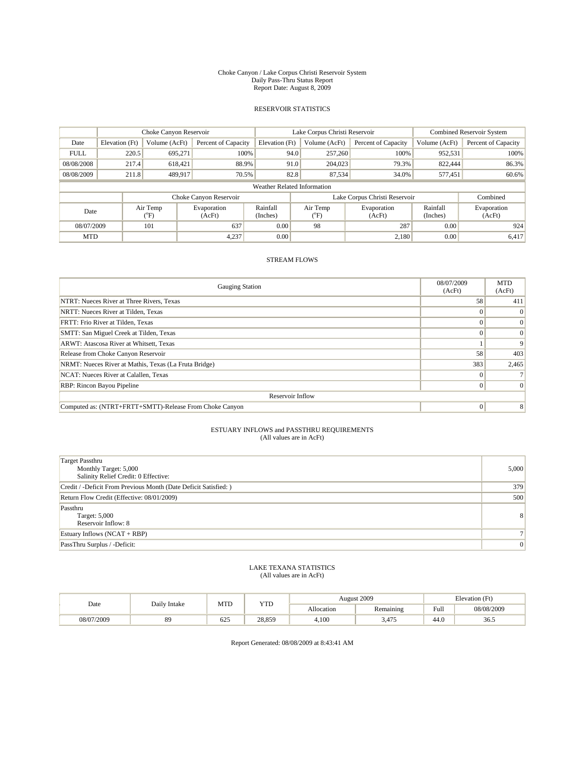#### Choke Canyon / Lake Corpus Christi Reservoir System Daily Pass-Thru Status Report Report Date: August 8, 2009

## RESERVOIR STATISTICS

|                             | Choke Canyon Reservoir |                 |                        |                      | Lake Corpus Christi Reservoir | Combined Reservoir System     |                      |                       |
|-----------------------------|------------------------|-----------------|------------------------|----------------------|-------------------------------|-------------------------------|----------------------|-----------------------|
| Date                        | Elevation (Ft)         | Volume (AcFt)   | Percent of Capacity    | Elevation (Ft)       | Volume (AcFt)                 | Percent of Capacity           | Volume (AcFt)        | Percent of Capacity   |
| <b>FULL</b>                 | 220.5                  | 695.271         | 100%                   | 94.0                 | 257,260                       | 100%                          | 952,531              | 100%                  |
| 08/08/2008                  | 217.4                  | 618.421         | 88.9%                  | 91.0                 | 204,023                       | 79.3%                         | 822,444              | 86.3%                 |
| 08/08/2009                  | 211.8                  | 489,917         | 70.5%                  | 82.8                 | 87,534                        | 34.0%                         | 577,451              | 60.6%                 |
| Weather Related Information |                        |                 |                        |                      |                               |                               |                      |                       |
|                             |                        |                 | Choke Canyon Reservoir |                      |                               | Lake Corpus Christi Reservoir |                      | Combined              |
| Date                        |                        | Air Temp<br>°F) | Evaporation<br>(AcFt)  | Rainfall<br>(Inches) | Air Temp<br>$\rm ^{o}F)$      | Evaporation<br>(AcFt)         | Rainfall<br>(Inches) | Evaporation<br>(AcFt) |
| 08/07/2009                  |                        | 101             | 637                    | 0.00                 | 98                            | 287                           | 0.00                 | 924                   |
| <b>MTD</b>                  |                        |                 | 4,237                  | 0.00                 |                               | 2,180                         | 0.00                 | 6,417                 |

## STREAM FLOWS

| <b>Gauging Station</b>                                  | 08/07/2009<br>(AcFt) | <b>MTD</b><br>(AcFt) |  |  |  |  |  |
|---------------------------------------------------------|----------------------|----------------------|--|--|--|--|--|
| NTRT: Nueces River at Three Rivers, Texas               | 58                   | 411                  |  |  |  |  |  |
| NRTT: Nueces River at Tilden, Texas                     |                      | $\Omega$             |  |  |  |  |  |
| FRTT: Frio River at Tilden, Texas                       |                      | $\Omega$             |  |  |  |  |  |
| SMTT: San Miguel Creek at Tilden, Texas                 |                      | $\Omega$             |  |  |  |  |  |
| ARWT: Atascosa River at Whitsett, Texas                 |                      | 9                    |  |  |  |  |  |
| Release from Choke Canyon Reservoir                     | 58                   | 403                  |  |  |  |  |  |
| NRMT: Nueces River at Mathis, Texas (La Fruta Bridge)   | 383                  | 2,465                |  |  |  |  |  |
| NCAT: Nueces River at Calallen, Texas                   |                      |                      |  |  |  |  |  |
| RBP: Rincon Bayou Pipeline                              |                      | $\Omega$             |  |  |  |  |  |
| Reservoir Inflow                                        |                      |                      |  |  |  |  |  |
| Computed as: (NTRT+FRTT+SMTT)-Release From Choke Canyon | $\Omega$             | 8                    |  |  |  |  |  |

#### ESTUARY INFLOWS and PASSTHRU REQUIREMENTS (All values are in AcFt)

| <b>Target Passthru</b><br>Monthly Target: 5,000<br>Salinity Relief Credit: 0 Effective: | 5,000          |
|-----------------------------------------------------------------------------------------|----------------|
| Credit / -Deficit From Previous Month (Date Deficit Satisfied: )                        | 379            |
| Return Flow Credit (Effective: 08/01/2009)                                              | 500            |
| Passthru<br>Target: 5,000<br>Reservoir Inflow: 8                                        | 8 <sup>1</sup> |
| Estuary Inflows $(NCAT + RBP)$                                                          |                |
| PassThru Surplus / -Deficit:                                                            | $\mathbf{0}$   |

#### LAKE TEXANA STATISTICS (All values are in AcFt)

| Date       | Daily Intake | MTD | <b>YTD</b> |            | August 2009 | Elevation (Ft) |            |
|------------|--------------|-----|------------|------------|-------------|----------------|------------|
|            |              |     |            | Allocation | Remaining   | Full           | 08/08/2009 |
| 08/07/2009 | 89           | 625 | 28,859     | 4,100      | 3.475       | 44.0           | 36.5       |

Report Generated: 08/08/2009 at 8:43:41 AM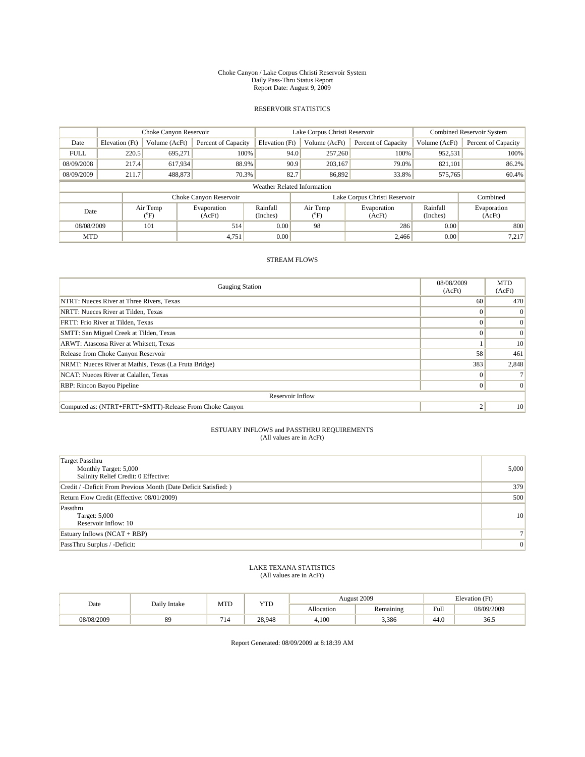#### Choke Canyon / Lake Corpus Christi Reservoir System Daily Pass-Thru Status Report Report Date: August 9, 2009

## RESERVOIR STATISTICS

|                             | Choke Canyon Reservoir |                 |                        |                      | Lake Corpus Christi Reservoir | Combined Reservoir System     |                      |                       |  |
|-----------------------------|------------------------|-----------------|------------------------|----------------------|-------------------------------|-------------------------------|----------------------|-----------------------|--|
| Date                        | Elevation (Ft)         | Volume (AcFt)   | Percent of Capacity    | Elevation (Ft)       | Volume (AcFt)                 | Percent of Capacity           | Volume (AcFt)        | Percent of Capacity   |  |
| <b>FULL</b>                 | 220.5                  | 695.271         | 100%                   | 94.0                 | 257,260                       | 100%                          | 952,531              | 100%                  |  |
| 08/09/2008                  | 217.4                  | 617,934         | 88.9%                  | 90.9                 | 203.167                       | 79.0%                         | 821.101              | 86.2%                 |  |
| 08/09/2009                  | 211.7                  | 488,873         | 70.3%                  | 82.7                 | 86,892                        | 33.8%                         | 575,765              | 60.4%                 |  |
| Weather Related Information |                        |                 |                        |                      |                               |                               |                      |                       |  |
|                             |                        |                 | Choke Canyon Reservoir |                      |                               | Lake Corpus Christi Reservoir |                      | Combined              |  |
| Date                        |                        | Air Temp<br>°F) | Evaporation<br>(AcFt)  | Rainfall<br>(Inches) | Air Temp<br>°F)               | Evaporation<br>(AcFt)         | Rainfall<br>(Inches) | Evaporation<br>(AcFt) |  |
| 101<br>08/08/2009           |                        |                 | 514                    | 0.00                 | 98                            | 286                           | 0.00                 | 800                   |  |
| <b>MTD</b>                  |                        |                 | 4,751                  | 0.00                 |                               | 2,466                         | 0.00                 | 7,217                 |  |

## STREAM FLOWS

| <b>Gauging Station</b>                                  | 08/08/2009<br>(AcFt) | <b>MTD</b><br>(AcFt) |  |  |  |  |  |
|---------------------------------------------------------|----------------------|----------------------|--|--|--|--|--|
| NTRT: Nueces River at Three Rivers, Texas               | 60                   | 470                  |  |  |  |  |  |
| NRTT: Nueces River at Tilden, Texas                     |                      | $\Omega$             |  |  |  |  |  |
| FRTT: Frio River at Tilden, Texas                       |                      | $\vert 0 \vert$      |  |  |  |  |  |
| SMTT: San Miguel Creek at Tilden, Texas                 |                      | $\vert 0 \vert$      |  |  |  |  |  |
| ARWT: Atascosa River at Whitsett, Texas                 |                      | 10                   |  |  |  |  |  |
| Release from Choke Canyon Reservoir                     | 58                   | 461                  |  |  |  |  |  |
| NRMT: Nueces River at Mathis, Texas (La Fruta Bridge)   | 383                  | 2,848                |  |  |  |  |  |
| NCAT: Nueces River at Calallen, Texas                   |                      |                      |  |  |  |  |  |
| RBP: Rincon Bayou Pipeline                              |                      | $\Omega$             |  |  |  |  |  |
| Reservoir Inflow                                        |                      |                      |  |  |  |  |  |
| Computed as: (NTRT+FRTT+SMTT)-Release From Choke Canyon | $\overline{2}$       | 10                   |  |  |  |  |  |

#### ESTUARY INFLOWS and PASSTHRU REQUIREMENTS (All values are in AcFt)

| <b>Target Passthru</b><br>Monthly Target: 5,000<br>Salinity Relief Credit: 0 Effective: | 5,000           |
|-----------------------------------------------------------------------------------------|-----------------|
| Credit / -Deficit From Previous Month (Date Deficit Satisfied: )                        | 379             |
| Return Flow Credit (Effective: 08/01/2009)                                              | 500             |
| Passthru<br>Target: 5,000<br>Reservoir Inflow: 10                                       | 10 <sup>1</sup> |
| Estuary Inflows $(NCAT + RBP)$                                                          |                 |
| PassThru Surplus / -Deficit:                                                            | $\overline{0}$  |

#### LAKE TEXANA STATISTICS (All values are in AcFt)

| Date       | Daily Intake | MTD                 | YTD    |            | August 2009 | Elevation (Ft)                          |            |  |
|------------|--------------|---------------------|--------|------------|-------------|-----------------------------------------|------------|--|
|            |              |                     |        | Allocation | Remaining   | Full<br>the contract of the contract of | 08/09/2009 |  |
| 08/08/2009 | 89           | $\sim$ $\sim$<br>14 | 28.948 | 4.100      | 3,386       | 44.0                                    | 36.5       |  |

Report Generated: 08/09/2009 at 8:18:39 AM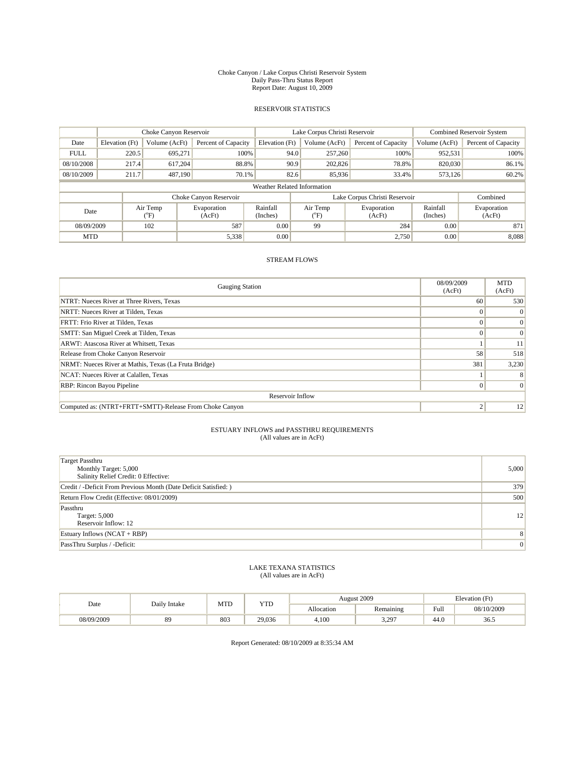#### Choke Canyon / Lake Corpus Christi Reservoir System Daily Pass-Thru Status Report Report Date: August 10, 2009

## RESERVOIR STATISTICS

|                             | Choke Canyon Reservoir |                  |                        |                      | Lake Corpus Christi Reservoir | <b>Combined Reservoir System</b> |                      |                       |  |
|-----------------------------|------------------------|------------------|------------------------|----------------------|-------------------------------|----------------------------------|----------------------|-----------------------|--|
| Date                        | Elevation (Ft)         | Volume (AcFt)    | Percent of Capacity    | Elevation (Ft)       | Volume (AcFt)                 | Percent of Capacity              | Volume (AcFt)        | Percent of Capacity   |  |
| <b>FULL</b>                 | 220.5                  | 695.271          | 100%                   | 94.0                 | 257,260                       | 100%                             | 952,531              | 100%                  |  |
| 08/10/2008                  | 217.4                  | 617.204          | 88.8%                  | 90.9                 | 202,826                       | 78.8%                            | 820,030              | 86.1%                 |  |
| 08/10/2009                  | 211.7                  | 487,190          | 70.1%                  | 82.6                 | 85,936                        | 33.4%                            | 573,126              | 60.2%                 |  |
| Weather Related Information |                        |                  |                        |                      |                               |                                  |                      |                       |  |
|                             |                        |                  | Choke Canyon Reservoir |                      |                               | Lake Corpus Christi Reservoir    |                      | Combined              |  |
| Date                        |                        | Air Temp<br>(°F) | Evaporation<br>(AcFt)  | Rainfall<br>(Inches) | Air Temp<br>ຶF.               | Evaporation<br>(AcFt)            | Rainfall<br>(Inches) | Evaporation<br>(AcFt) |  |
| 102<br>08/09/2009           |                        |                  | 587                    | 0.00                 | 99                            | 284                              | 0.00                 | 871                   |  |
| <b>MTD</b>                  |                        |                  | 5,338                  | 0.00                 |                               | 2,750                            | 0.00                 | 8,088                 |  |

## STREAM FLOWS

| <b>Gauging Station</b>                                  | 08/09/2009<br>(AcFt) | <b>MTD</b><br>(AcFt) |  |  |  |  |  |
|---------------------------------------------------------|----------------------|----------------------|--|--|--|--|--|
| NTRT: Nueces River at Three Rivers, Texas               | 60                   | 530                  |  |  |  |  |  |
| NRTT: Nueces River at Tilden, Texas                     |                      | $\Omega$             |  |  |  |  |  |
| FRTT: Frio River at Tilden, Texas                       |                      | $\left 0\right $     |  |  |  |  |  |
| SMTT: San Miguel Creek at Tilden, Texas                 | $\Omega$             | $\Omega$             |  |  |  |  |  |
| ARWT: Atascosa River at Whitsett, Texas                 |                      | 11                   |  |  |  |  |  |
| Release from Choke Canyon Reservoir                     | 58                   | 518                  |  |  |  |  |  |
| NRMT: Nueces River at Mathis, Texas (La Fruta Bridge)   | 381                  | 3,230                |  |  |  |  |  |
| NCAT: Nueces River at Calallen, Texas                   |                      | 8                    |  |  |  |  |  |
| RBP: Rincon Bayou Pipeline                              |                      | $\Omega$             |  |  |  |  |  |
| Reservoir Inflow                                        |                      |                      |  |  |  |  |  |
| Computed as: (NTRT+FRTT+SMTT)-Release From Choke Canyon | $\overline{2}$       | 12                   |  |  |  |  |  |

#### ESTUARY INFLOWS and PASSTHRU REQUIREMENTS (All values are in AcFt)

| <b>Target Passthru</b><br>Monthly Target: 5,000<br>Salinity Relief Credit: 0 Effective: | 5,000          |
|-----------------------------------------------------------------------------------------|----------------|
| Credit / -Deficit From Previous Month (Date Deficit Satisfied: )                        | 379            |
| Return Flow Credit (Effective: 08/01/2009)                                              | 500            |
| Passthru<br>Target: 5,000<br>Reservoir Inflow: 12                                       | 12             |
| Estuary Inflows $(NCAT + RBP)$                                                          | 8              |
| PassThru Surplus / -Deficit:                                                            | $\overline{0}$ |

#### LAKE TEXANA STATISTICS (All values are in AcFt)

| Date       | Daily Intake | MTD | YTD    |            | August 2009   | Elevation (Ft)                          |            |  |
|------------|--------------|-----|--------|------------|---------------|-----------------------------------------|------------|--|
|            |              |     |        | Allocation | Remaining     | Full<br>the contract of the contract of | 08/10/2009 |  |
| 08/09/2009 | 89           | 803 | 29,036 | 4,100      | 3.207<br>J.L. | 44.0                                    | 36.5       |  |

Report Generated: 08/10/2009 at 8:35:34 AM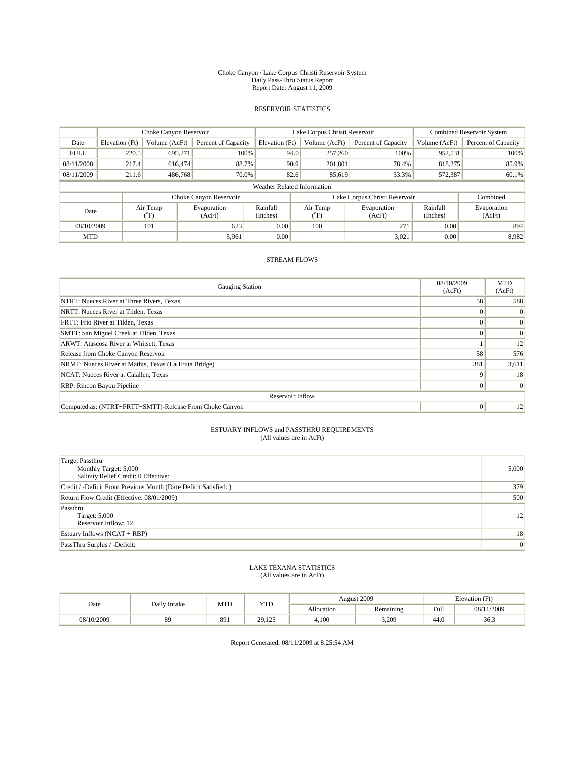#### Choke Canyon / Lake Corpus Christi Reservoir System Daily Pass-Thru Status Report Report Date: August 11, 2009

## RESERVOIR STATISTICS

|                             | Choke Canyon Reservoir |               |                        |                      | Lake Corpus Christi Reservoir | Combined Reservoir System     |                      |                       |
|-----------------------------|------------------------|---------------|------------------------|----------------------|-------------------------------|-------------------------------|----------------------|-----------------------|
| Date                        | Elevation (Ft)         | Volume (AcFt) | Percent of Capacity    | Elevation (Ft)       | Volume (AcFt)                 | Percent of Capacity           | Volume (AcFt)        | Percent of Capacity   |
| <b>FULL</b>                 | 220.5                  | 695.271       | 100%                   | 94.0                 | 257,260                       | 100%                          | 952,531              | 100%                  |
| 08/11/2008                  | 217.4                  | 616,474       | 88.7%                  | 90.9                 | 201,801                       | 78.4%                         | 818,275              | 85.9%                 |
| 08/11/2009                  | 211.6                  | 486,768       | 70.0%                  | 82.6                 | 85,619                        | 33.3%                         | 572,387              | 60.1%                 |
| Weather Related Information |                        |               |                        |                      |                               |                               |                      |                       |
|                             |                        |               | Choke Canyon Reservoir |                      |                               | Lake Corpus Christi Reservoir |                      | Combined              |
| Air Temp<br>Date<br>°F)     |                        |               | Evaporation<br>(AcFt)  | Rainfall<br>(Inches) | Air Temp<br>°F)               | Evaporation<br>(AcFt)         | Rainfall<br>(Inches) | Evaporation<br>(AcFt) |
| 101<br>08/10/2009           |                        |               | 623                    | 0.00                 | 100                           | 271                           | 0.00                 | 894                   |
| <b>MTD</b>                  |                        |               | 5,961                  | 0.00                 |                               | 3,021                         | 0.00                 | 8,982                 |

## STREAM FLOWS

| <b>Gauging Station</b>                                  | 08/10/2009<br>(AcFt) | <b>MTD</b><br>(AcFt) |  |  |  |  |  |
|---------------------------------------------------------|----------------------|----------------------|--|--|--|--|--|
| NTRT: Nueces River at Three Rivers, Texas               | 58                   | 588                  |  |  |  |  |  |
| NRTT: Nueces River at Tilden, Texas                     |                      | $\Omega$             |  |  |  |  |  |
| FRTT: Frio River at Tilden, Texas                       |                      | $\vert 0 \vert$      |  |  |  |  |  |
| SMTT: San Miguel Creek at Tilden, Texas                 | $\Omega$             | $\Omega$             |  |  |  |  |  |
| ARWT: Atascosa River at Whitsett, Texas                 |                      | 12                   |  |  |  |  |  |
| Release from Choke Canyon Reservoir                     | 58                   | 576                  |  |  |  |  |  |
| NRMT: Nueces River at Mathis, Texas (La Fruta Bridge)   | 381                  | 3,611                |  |  |  |  |  |
| NCAT: Nueces River at Calallen, Texas                   | $\mathbf Q$          | 18                   |  |  |  |  |  |
| RBP: Rincon Bayou Pipeline                              | $\theta$             | $\Omega$             |  |  |  |  |  |
| Reservoir Inflow                                        |                      |                      |  |  |  |  |  |
| Computed as: (NTRT+FRTT+SMTT)-Release From Choke Canyon | $\Omega$             | 12                   |  |  |  |  |  |

#### ESTUARY INFLOWS and PASSTHRU REQUIREMENTS (All values are in AcFt)

| <b>Target Passthru</b><br>Monthly Target: 5,000<br>Salinity Relief Credit: 0 Effective: | 5,000           |
|-----------------------------------------------------------------------------------------|-----------------|
| Credit / -Deficit From Previous Month (Date Deficit Satisfied: )                        | 379             |
| Return Flow Credit (Effective: 08/01/2009)                                              | 500             |
| Passthru<br>Target: 5,000<br>Reservoir Inflow: 12                                       | 12              |
| Estuary Inflows $(NCAT + RBP)$                                                          | 18              |
| PassThru Surplus / -Deficit:                                                            | $\vert 0 \vert$ |

#### LAKE TEXANA STATISTICS (All values are in AcFt)

| Date       | Daily Intake | MTD | <b>YTD</b>      |            | August 2009 | Elevation (Ft)                          |            |
|------------|--------------|-----|-----------------|------------|-------------|-----------------------------------------|------------|
|            |              |     |                 | Allocation | Remaining   | Full<br>the contract of the contract of | 08/11/2009 |
| 08/10/2009 | 89           | 891 | 20125<br>27.IZJ | 4,100      | 3.209       | 44.0                                    | 36.3       |

Report Generated: 08/11/2009 at 8:25:54 AM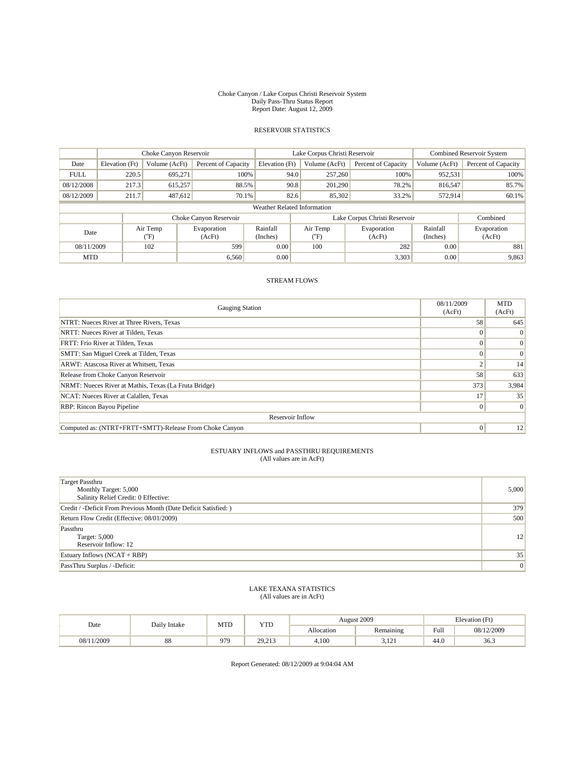#### Choke Canyon / Lake Corpus Christi Reservoir System Daily Pass-Thru Status Report Report Date: August 12, 2009

## RESERVOIR STATISTICS

|                             | Choke Canyon Reservoir                                              |                  |                       |                      | Lake Corpus Christi Reservoir | <b>Combined Reservoir System</b> |                      |                       |  |
|-----------------------------|---------------------------------------------------------------------|------------------|-----------------------|----------------------|-------------------------------|----------------------------------|----------------------|-----------------------|--|
| Date                        | Elevation (Ft)                                                      | Volume (AcFt)    | Percent of Capacity   | Elevation (Ft)       | Volume (AcFt)                 | Percent of Capacity              | Volume (AcFt)        | Percent of Capacity   |  |
| <b>FULL</b>                 | 220.5                                                               | 695,271          | 100%                  | 94.0                 | 257,260                       | 100%                             | 952,531              | 100%                  |  |
| 08/12/2008                  | 217.3                                                               | 615,257          | 88.5%                 | 90.8                 | 201.290                       | 78.2%                            | 816,547              | 85.7%                 |  |
| 08/12/2009                  | 211.7                                                               | 487,612          | 70.1%                 | 82.6                 | 85,302                        | 33.2%                            | 572,914              | 60.1%                 |  |
| Weather Related Information |                                                                     |                  |                       |                      |                               |                                  |                      |                       |  |
|                             | Lake Corpus Christi Reservoir<br>Choke Canyon Reservoir<br>Combined |                  |                       |                      |                               |                                  |                      |                       |  |
| Date                        |                                                                     | Air Temp<br>(°F) | Evaporation<br>(AcFt) | Rainfall<br>(Inches) | Air Temp<br>("F)              | Evaporation<br>(AcFt)            | Rainfall<br>(Inches) | Evaporation<br>(AcFt) |  |
| 08/11/2009<br>102           |                                                                     |                  | 599                   | 0.00                 | 100                           | 282                              | 0.00                 | 881                   |  |
| <b>MTD</b>                  |                                                                     |                  | 6,560                 | 0.00                 |                               | 3,303                            | 0.00                 | 9,863                 |  |

## STREAM FLOWS

| <b>Gauging Station</b>                                  | 08/11/2009<br>(AcFt) | <b>MTD</b><br>(AcFt) |  |  |  |  |
|---------------------------------------------------------|----------------------|----------------------|--|--|--|--|
| NTRT: Nueces River at Three Rivers, Texas               | 58                   | 645                  |  |  |  |  |
| NRTT: Nueces River at Tilden, Texas                     |                      | $\Omega$             |  |  |  |  |
| FRTT: Frio River at Tilden, Texas                       |                      | $\left 0\right $     |  |  |  |  |
| SMTT: San Miguel Creek at Tilden, Texas                 |                      | $\vert 0 \vert$      |  |  |  |  |
| ARWT: Atascosa River at Whitsett, Texas                 | $\overline{c}$       | 14                   |  |  |  |  |
| Release from Choke Canyon Reservoir                     | 58                   | 633                  |  |  |  |  |
| NRMT: Nueces River at Mathis, Texas (La Fruta Bridge)   | 373                  | 3,984                |  |  |  |  |
| NCAT: Nueces River at Calallen, Texas                   | 17                   | 35                   |  |  |  |  |
| RBP: Rincon Bayou Pipeline                              | $\Omega$             | $\Omega$             |  |  |  |  |
| Reservoir Inflow                                        |                      |                      |  |  |  |  |
| Computed as: (NTRT+FRTT+SMTT)-Release From Choke Canyon | $\Omega$             | 12                   |  |  |  |  |

#### ESTUARY INFLOWS and PASSTHRU REQUIREMENTS (All values are in AcFt)

| <b>Target Passthru</b><br>Monthly Target: 5,000<br>Salinity Relief Credit: 0 Effective: | 5,000 |
|-----------------------------------------------------------------------------------------|-------|
| Credit / -Deficit From Previous Month (Date Deficit Satisfied: )                        | 379   |
| Return Flow Credit (Effective: 08/01/2009)                                              | 500   |
| Passthru<br>Target: 5,000<br>Reservoir Inflow: 12                                       | 12    |
| Estuary Inflows (NCAT + RBP)                                                            | 35    |
| PassThru Surplus / -Deficit:                                                            | 0     |

#### LAKE TEXANA STATISTICS (All values are in AcFt)

| Date           | Daily Intake | MTD | YTD             | August 2009 |              | Elevation (Ft) |            |
|----------------|--------------|-----|-----------------|-------------|--------------|----------------|------------|
|                |              |     |                 | Allocation  | Remaining    | Full           | 08/12/2009 |
| /2009<br>08/11 | 88           | 979 | 20.213<br>27.21 | 4,100       | 12<br>1 سارب | 44.0           | 36.3       |

Report Generated: 08/12/2009 at 9:04:04 AM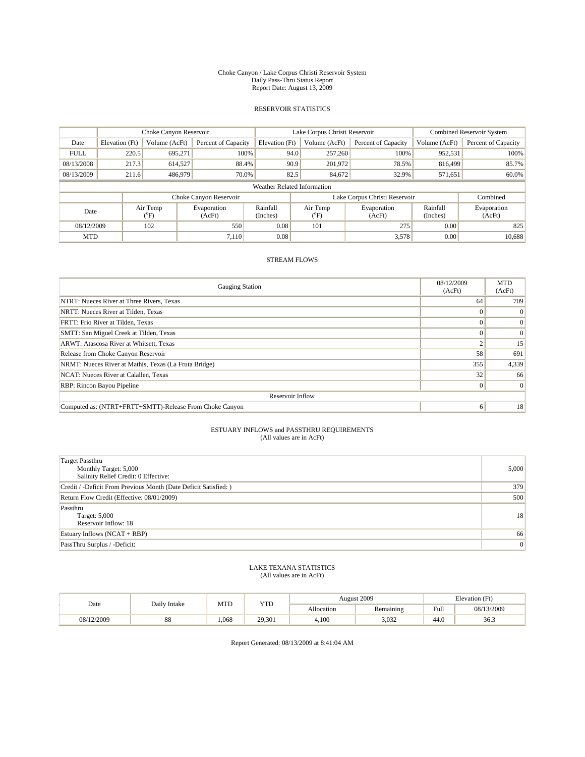#### Choke Canyon / Lake Corpus Christi Reservoir System Daily Pass-Thru Status Report Report Date: August 13, 2009

## RESERVOIR STATISTICS

|                             | Choke Canyon Reservoir |                 |                        |                      | Lake Corpus Christi Reservoir | Combined Reservoir System     |                      |                       |  |
|-----------------------------|------------------------|-----------------|------------------------|----------------------|-------------------------------|-------------------------------|----------------------|-----------------------|--|
| Date                        | Elevation (Ft)         | Volume (AcFt)   | Percent of Capacity    | Elevation (Ft)       | Volume (AcFt)                 | Percent of Capacity           | Volume (AcFt)        | Percent of Capacity   |  |
| <b>FULL</b>                 | 220.5                  | 695,271         | 100%                   | 94.0                 | 257,260                       | 100%                          | 952,531              | 100%                  |  |
| 08/13/2008                  | 217.3                  | 614.527         | 88.4%                  | 90.9                 | 201.972                       | 78.5%                         | 816,499              | 85.7%                 |  |
| 08/13/2009                  | 211.6                  | 486,979         | 70.0%                  | 82.5                 | 84,672                        | 32.9%                         | 571,651              | 60.0%                 |  |
| Weather Related Information |                        |                 |                        |                      |                               |                               |                      |                       |  |
|                             |                        |                 | Choke Canyon Reservoir |                      |                               | Lake Corpus Christi Reservoir |                      | Combined              |  |
| Date                        |                        | Air Temp<br>°F) | Evaporation<br>(AcFt)  | Rainfall<br>(Inches) | Air Temp<br>°F)               | Evaporation<br>(AcFt)         | Rainfall<br>(Inches) | Evaporation<br>(AcFt) |  |
| 08/12/2009                  |                        | 102             | 550                    | 0.08                 | 101                           | 275                           | 0.00                 | 825                   |  |
| <b>MTD</b>                  |                        |                 | 7.110                  | 0.08                 |                               | 3,578                         | 0.00                 | 10,688                |  |

## STREAM FLOWS

| <b>Gauging Station</b>                                  | 08/12/2009<br>(AcFt) | <b>MTD</b><br>(AcFt) |  |  |  |
|---------------------------------------------------------|----------------------|----------------------|--|--|--|
| NTRT: Nueces River at Three Rivers, Texas               | 64                   | 709                  |  |  |  |
| NRTT: Nueces River at Tilden, Texas                     |                      | $\Omega$             |  |  |  |
| FRTT: Frio River at Tilden, Texas                       |                      |                      |  |  |  |
| SMTT: San Miguel Creek at Tilden, Texas                 |                      | $\Omega$             |  |  |  |
| ARWT: Atascosa River at Whitsett, Texas                 | $\overline{c}$       | 15                   |  |  |  |
| Release from Choke Canyon Reservoir                     | 58                   | 691                  |  |  |  |
| NRMT: Nueces River at Mathis, Texas (La Fruta Bridge)   | 355                  | 4,339                |  |  |  |
| NCAT: Nueces River at Calallen, Texas                   | 32                   | 66                   |  |  |  |
| RBP: Rincon Bayou Pipeline                              | $\Omega$             | $\Omega$             |  |  |  |
| Reservoir Inflow                                        |                      |                      |  |  |  |
| Computed as: (NTRT+FRTT+SMTT)-Release From Choke Canyon | 6                    | 18                   |  |  |  |

#### ESTUARY INFLOWS and PASSTHRU REQUIREMENTS (All values are in AcFt)

| <b>Target Passthru</b><br>Monthly Target: 5,000<br>Salinity Relief Credit: 0 Effective: | 5,000           |
|-----------------------------------------------------------------------------------------|-----------------|
| Credit / -Deficit From Previous Month (Date Deficit Satisfied: )                        | 379             |
| Return Flow Credit (Effective: 08/01/2009)                                              | 500             |
| Passthru<br>Target: 5,000<br>Reservoir Inflow: 18                                       | 18              |
| Estuary Inflows $(NCAT + RBP)$                                                          | 66              |
| PassThru Surplus / -Deficit:                                                            | $\vert 0 \vert$ |

#### LAKE TEXANA STATISTICS (All values are in AcFt)

| Date       | Daily Intake | MTD   | <b>YTD</b> | August 2009<br>Elevation (Ft) |           |                                         |            |
|------------|--------------|-------|------------|-------------------------------|-----------|-----------------------------------------|------------|
|            |              |       |            | Allocation                    | Remaining | Full<br>the contract of the contract of | 08/13/2009 |
| 08/12/2009 | 88           | 1,068 | 29,301     | 4,100                         | 3,032     | 44.0                                    | 36.3       |

Report Generated: 08/13/2009 at 8:41:04 AM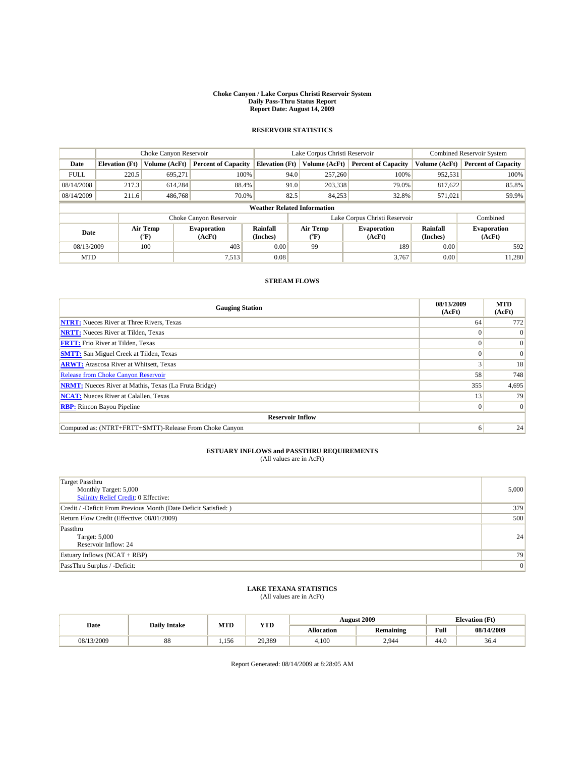#### **Choke Canyon / Lake Corpus Christi Reservoir System Daily Pass-Thru Status Report Report Date: August 14, 2009**

## **RESERVOIR STATISTICS**

|             | Choke Canyon Reservoir             |                  | Lake Corpus Christi Reservoir |                       |      |                                   | <b>Combined Reservoir System</b> |                             |                              |
|-------------|------------------------------------|------------------|-------------------------------|-----------------------|------|-----------------------------------|----------------------------------|-----------------------------|------------------------------|
| Date        | <b>Elevation</b> (Ft)              | Volume (AcFt)    | <b>Percent of Capacity</b>    | <b>Elevation</b> (Ft) |      | Volume (AcFt)                     | <b>Percent of Capacity</b>       | Volume (AcFt)               | <b>Percent of Capacity</b>   |
| <b>FULL</b> | 220.5                              | 695,271          | 100%                          |                       | 94.0 | 257,260                           | 100%                             | 952,531                     | 100%                         |
| 08/14/2008  | 217.3                              | 614.284          | 88.4%                         |                       | 91.0 | 203,338                           | 79.0%                            | 817,622                     | 85.8%                        |
| 08/14/2009  | 211.6                              | 486,768          | 70.0%                         |                       | 82.5 | 84,253                            | 32.8%                            | 571,021                     | 59.9%                        |
|             | <b>Weather Related Information</b> |                  |                               |                       |      |                                   |                                  |                             |                              |
|             |                                    |                  | Choke Canyon Reservoir        |                       |      |                                   | Lake Corpus Christi Reservoir    |                             | Combined                     |
| Date        |                                    | Air Temp<br>(°F) | <b>Evaporation</b><br>(AcFt)  | Rainfall<br>(Inches)  |      | Air Temp<br>$({}^{\circ}{\rm F})$ | <b>Evaporation</b><br>(AcFt)     | <b>Rainfall</b><br>(Inches) | <b>Evaporation</b><br>(AcFt) |
| 08/13/2009  |                                    | 100              | 403                           | 0.00                  |      | 99                                | 189                              | 0.00                        | 592                          |
| <b>MTD</b>  |                                    |                  | 7,513                         | 0.08                  |      |                                   | 3,767                            | 0.00                        | 11,280                       |

## **STREAM FLOWS**

| <b>Gauging Station</b>                                       | 08/13/2009<br>(AcFt) | <b>MTD</b><br>(AcFt) |  |  |  |  |
|--------------------------------------------------------------|----------------------|----------------------|--|--|--|--|
| <b>NTRT:</b> Nueces River at Three Rivers, Texas             | 64                   | 772                  |  |  |  |  |
| <b>NRTT:</b> Nueces River at Tilden, Texas                   |                      | $\Omega$             |  |  |  |  |
| <b>FRTT:</b> Frio River at Tilden, Texas                     |                      | $\vert 0 \vert$      |  |  |  |  |
| <b>SMTT:</b> San Miguel Creek at Tilden, Texas               |                      | $\vert 0 \vert$      |  |  |  |  |
| <b>ARWT:</b> Atascosa River at Whitsett, Texas               |                      | 18                   |  |  |  |  |
| <b>Release from Choke Canyon Reservoir</b>                   | 58                   | 748                  |  |  |  |  |
| <b>NRMT:</b> Nueces River at Mathis, Texas (La Fruta Bridge) | 355                  | 4,695                |  |  |  |  |
| <b>NCAT:</b> Nueces River at Calallen, Texas                 | 13                   | 79                   |  |  |  |  |
| <b>RBP:</b> Rincon Bayou Pipeline                            | $\Omega$             | $\Omega$             |  |  |  |  |
| <b>Reservoir Inflow</b>                                      |                      |                      |  |  |  |  |
| Computed as: (NTRT+FRTT+SMTT)-Release From Choke Canyon      | 6                    | 24                   |  |  |  |  |

## **ESTUARY INFLOWS and PASSTHRU REQUIREMENTS**<br>(All values are in AcFt)

| <b>Target Passthru</b><br>Monthly Target: 5,000<br>Salinity Relief Credit: 0 Effective: | 5,000 |
|-----------------------------------------------------------------------------------------|-------|
| Credit / -Deficit From Previous Month (Date Deficit Satisfied: )                        | 379   |
| Return Flow Credit (Effective: 08/01/2009)                                              | 500   |
| Passthru<br>Target: 5,000<br>Reservoir Inflow: 24                                       | 24    |
| Estuary Inflows $(NCAT + RBP)$                                                          | 79    |
| PassThru Surplus / -Deficit:                                                            | 0     |

## **LAKE TEXANA STATISTICS** (All values are in AcFt)

| Date       | <b>Daily Intake</b> | MTD   | VTT    |            | <b>August 2009</b> | Elevation (Ft) |            |
|------------|---------------------|-------|--------|------------|--------------------|----------------|------------|
|            |                     |       | 1 L.D  | Allocation | <b>Remaining</b>   | Full           | 08/14/2009 |
| 08/13/2009 | 88                  | 1.156 | 29,389 | 4.100      | 2,944              | 44.0           | 36.4       |

Report Generated: 08/14/2009 at 8:28:05 AM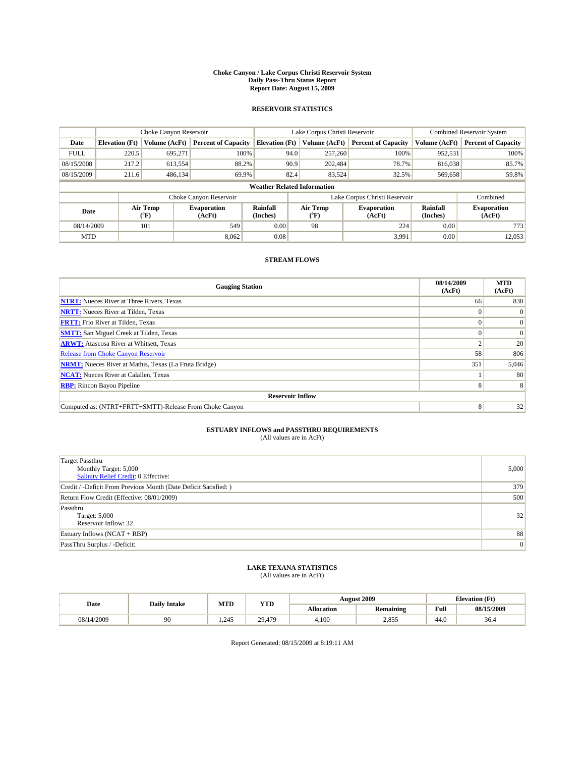#### **Choke Canyon / Lake Corpus Christi Reservoir System Daily Pass-Thru Status Report Report Date: August 15, 2009**

## **RESERVOIR STATISTICS**

|             | Choke Canyon Reservoir             |                  |                              |                             | Lake Corpus Christi Reservoir |                  |                               |                      | <b>Combined Reservoir System</b> |  |  |
|-------------|------------------------------------|------------------|------------------------------|-----------------------------|-------------------------------|------------------|-------------------------------|----------------------|----------------------------------|--|--|
| Date        | <b>Elevation</b> (Ft)              | Volume (AcFt)    | <b>Percent of Capacity</b>   | <b>Elevation</b> (Ft)       |                               | Volume (AcFt)    | <b>Percent of Capacity</b>    | Volume (AcFt)        | <b>Percent of Capacity</b>       |  |  |
| <b>FULL</b> | 220.5                              | 695,271          | 100%                         |                             | 94.0                          | 257,260          | 100%                          | 952,531              | 100%                             |  |  |
| 08/15/2008  | 217.2                              | 613,554          | 88.2%                        |                             | 90.9                          | 202,484          | 78.7%                         | 816,038              | 85.7%                            |  |  |
| 08/15/2009  | 211.6                              | 486,134          | 69.9%                        |                             | 82.4                          | 83,524           | 32.5%                         | 569,658              | 59.8%                            |  |  |
|             | <b>Weather Related Information</b> |                  |                              |                             |                               |                  |                               |                      |                                  |  |  |
|             |                                    |                  | Choke Canyon Reservoir       |                             |                               |                  | Lake Corpus Christi Reservoir |                      | Combined                         |  |  |
| Date        |                                    | Air Temp<br>(°F) | <b>Evaporation</b><br>(AcFt) | <b>Rainfall</b><br>(Inches) |                               | Air Temp<br>(°F) | <b>Evaporation</b><br>(AcFt)  | Rainfall<br>(Inches) | <b>Evaporation</b><br>(AcFt)     |  |  |
| 08/14/2009  |                                    | 101              | 549                          | 0.00                        |                               | 98               | 224                           | 0.00                 | 773                              |  |  |
| <b>MTD</b>  |                                    |                  | 8.062                        | 0.08                        |                               |                  | 3,991                         | 0.00                 | 12,053                           |  |  |

## **STREAM FLOWS**

| <b>Gauging Station</b>                                       | 08/14/2009<br>(AcFt) | <b>MTD</b><br>(AcFt) |
|--------------------------------------------------------------|----------------------|----------------------|
| <b>NTRT:</b> Nueces River at Three Rivers, Texas             | 66                   | 838                  |
| <b>NRTT:</b> Nueces River at Tilden, Texas                   |                      | $\Omega$             |
| <b>FRTT:</b> Frio River at Tilden, Texas                     |                      | $\vert 0 \vert$      |
| <b>SMTT:</b> San Miguel Creek at Tilden, Texas               |                      | $\vert 0 \vert$      |
| <b>ARWT:</b> Atascosa River at Whitsett, Texas               |                      | 20                   |
| Release from Choke Canyon Reservoir                          | 58                   | 806                  |
| <b>NRMT:</b> Nueces River at Mathis, Texas (La Fruta Bridge) | 351                  | 5,046                |
| <b>NCAT:</b> Nueces River at Calallen, Texas                 |                      | 80                   |
| <b>RBP:</b> Rincon Bayou Pipeline                            | 8                    | 8                    |
| <b>Reservoir Inflow</b>                                      |                      |                      |
| Computed as: (NTRT+FRTT+SMTT)-Release From Choke Canyon      | 8                    | 32                   |

# **ESTUARY INFLOWS and PASSTHRU REQUIREMENTS**<br>(All values are in AcFt)

| <b>Target Passthru</b><br>Monthly Target: 5,000<br>Salinity Relief Credit: 0 Effective: | 5,000 |
|-----------------------------------------------------------------------------------------|-------|
| Credit / -Deficit From Previous Month (Date Deficit Satisfied: )                        | 379   |
| Return Flow Credit (Effective: 08/01/2009)                                              | 500   |
| Passthru<br>Target: 5,000<br>Reservoir Inflow: 32                                       | 32    |
| Estuary Inflows (NCAT + RBP)                                                            | 88    |
| PassThru Surplus / -Deficit:                                                            | 0     |

## **LAKE TEXANA STATISTICS** (All values are in AcFt)

|            | <b>Daily Intake</b> | MTD  | <b>YTD</b> |                   | <b>August 2009</b> | <b>Elevation</b> (Ft)                       |            |
|------------|---------------------|------|------------|-------------------|--------------------|---------------------------------------------|------------|
| Date       |                     |      |            | <b>Allocation</b> | <b>Remaining</b>   | Full<br>the contract of the contract of the | 08/15/2009 |
| 08/14/2009 | 90                  | .245 | 29.479     | 4.100             | 2,855              | 44.0                                        | 36.4       |

Report Generated: 08/15/2009 at 8:19:11 AM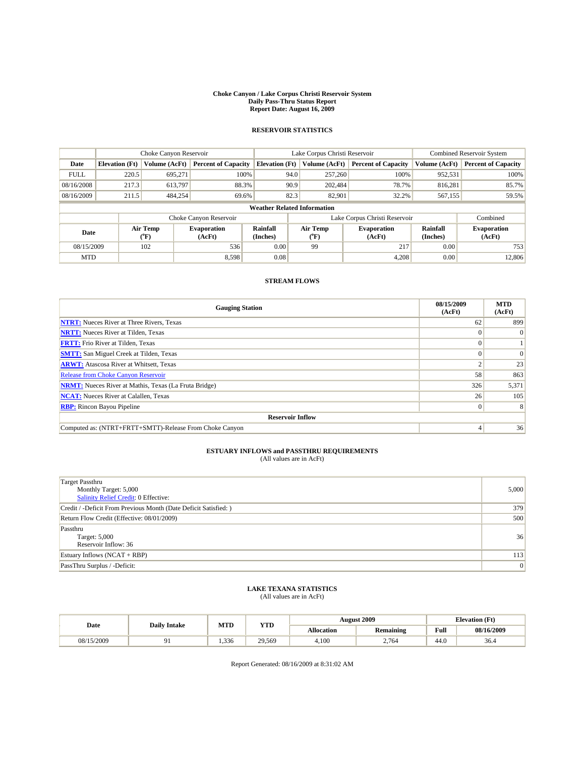#### **Choke Canyon / Lake Corpus Christi Reservoir System Daily Pass-Thru Status Report Report Date: August 16, 2009**

## **RESERVOIR STATISTICS**

|                                    | Choke Canyon Reservoir |                  | Lake Corpus Christi Reservoir |                       |                                  |               | <b>Combined Reservoir System</b> |                      |                              |
|------------------------------------|------------------------|------------------|-------------------------------|-----------------------|----------------------------------|---------------|----------------------------------|----------------------|------------------------------|
| Date                               | <b>Elevation</b> (Ft)  | Volume (AcFt)    | <b>Percent of Capacity</b>    | <b>Elevation</b> (Ft) |                                  | Volume (AcFt) | <b>Percent of Capacity</b>       | Volume (AcFt)        | <b>Percent of Capacity</b>   |
| <b>FULL</b>                        | 220.5                  | 695.271          | 100%                          | 94.0                  |                                  | 257,260       | 100%                             | 952,531              | 100%                         |
| 08/16/2008                         | 217.3                  | 613.797          | 88.3%                         | 90.9                  |                                  | 202,484       | 78.7%                            | 816,281              | 85.7%                        |
| 08/16/2009                         | 211.5                  | 484,254          | 69.6%                         | 82.3                  |                                  | 82,901        | 32.2%                            | 567,155              | 59.5%                        |
| <b>Weather Related Information</b> |                        |                  |                               |                       |                                  |               |                                  |                      |                              |
|                                    |                        |                  | Choke Canyon Reservoir        |                       |                                  |               | Lake Corpus Christi Reservoir    |                      | Combined                     |
| Date                               |                        | Air Temp<br>(°F) | <b>Evaporation</b><br>(AcFt)  | Rainfall<br>(Inches)  | <b>Air Temp</b><br>$(^{\circ}F)$ |               | <b>Evaporation</b><br>(AcFt)     | Rainfall<br>(Inches) | <b>Evaporation</b><br>(AcFt) |
| 08/15/2009                         |                        | 102              | 536                           | 0.00                  | 99                               |               | 217                              | 0.00                 | 753                          |
| <b>MTD</b>                         |                        |                  | 8,598                         | 0.08                  |                                  |               | 4,208                            | 0.00                 | 12,806                       |

## **STREAM FLOWS**

| <b>Gauging Station</b>                                       | 08/15/2009<br>(AcFt) | <b>MTD</b><br>(AcFt) |  |  |  |  |
|--------------------------------------------------------------|----------------------|----------------------|--|--|--|--|
| <b>NTRT:</b> Nueces River at Three Rivers, Texas             | 62                   | 899                  |  |  |  |  |
| <b>NRTT:</b> Nueces River at Tilden, Texas                   |                      | $\overline{0}$       |  |  |  |  |
| <b>FRTT:</b> Frio River at Tilden, Texas                     |                      |                      |  |  |  |  |
| <b>SMTT:</b> San Miguel Creek at Tilden, Texas               |                      | $\Omega$             |  |  |  |  |
| <b>ARWT:</b> Atascosa River at Whitsett, Texas               |                      | 23                   |  |  |  |  |
| <b>Release from Choke Canyon Reservoir</b>                   | 58                   | 863                  |  |  |  |  |
| <b>NRMT:</b> Nueces River at Mathis, Texas (La Fruta Bridge) | 326                  | 5,371                |  |  |  |  |
| <b>NCAT:</b> Nueces River at Calallen, Texas                 | 26                   | 105                  |  |  |  |  |
| <b>RBP:</b> Rincon Bayou Pipeline                            | $\Omega$             | 8                    |  |  |  |  |
| <b>Reservoir Inflow</b>                                      |                      |                      |  |  |  |  |
| Computed as: (NTRT+FRTT+SMTT)-Release From Choke Canyon      |                      | 36                   |  |  |  |  |

## **ESTUARY INFLOWS and PASSTHRU REQUIREMENTS**<br>(All values are in AcFt)

| <b>Target Passthru</b><br>Monthly Target: 5,000<br>Salinity Relief Credit: 0 Effective: | 5,000 |
|-----------------------------------------------------------------------------------------|-------|
| Credit / -Deficit From Previous Month (Date Deficit Satisfied: )                        | 379   |
| Return Flow Credit (Effective: 08/01/2009)                                              | 500   |
| Passthru<br>Target: 5,000<br>Reservoir Inflow: 36                                       | 36    |
| Estuary Inflows (NCAT + RBP)                                                            | 113   |
| PassThru Surplus / -Deficit:                                                            | 0     |

# **LAKE TEXANA STATISTICS** (All values are in AcFt)

| Date       | <b>Daily Intake</b> | MTD  | <b>YTD</b> |                   | August 2009 | <b>Elevation</b> (Ft) |            |
|------------|---------------------|------|------------|-------------------|-------------|-----------------------|------------|
|            |                     |      |            | <b>Allocation</b> | Remaining   | Full                  | 08/16/2009 |
| 08/15/2009 |                     | .336 | 29.569     | 4.100             | 2,764       | 44.0                  | 36.4       |

Report Generated: 08/16/2009 at 8:31:02 AM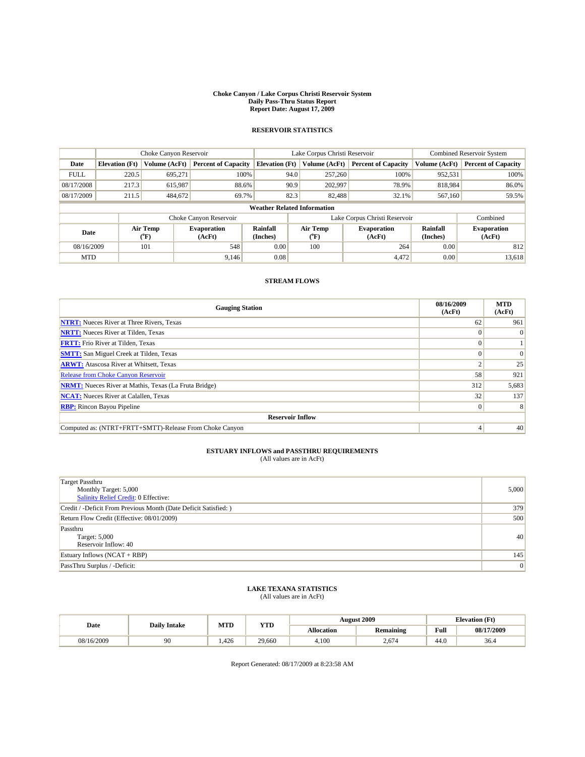#### **Choke Canyon / Lake Corpus Christi Reservoir System Daily Pass-Thru Status Report Report Date: August 17, 2009**

## **RESERVOIR STATISTICS**

|                                    | Choke Canyon Reservoir |                  | Lake Corpus Christi Reservoir |                       |      |                                  | <b>Combined Reservoir System</b> |                      |                              |
|------------------------------------|------------------------|------------------|-------------------------------|-----------------------|------|----------------------------------|----------------------------------|----------------------|------------------------------|
| Date                               | <b>Elevation (Ft)</b>  | Volume (AcFt)    | <b>Percent of Capacity</b>    | <b>Elevation</b> (Ft) |      | Volume (AcFt)                    | <b>Percent of Capacity</b>       | Volume (AcFt)        | <b>Percent of Capacity</b>   |
| <b>FULL</b>                        | 220.5                  | 695.271          | 100%                          |                       | 94.0 | 257,260                          | 100%                             | 952,531              | 100%                         |
| 08/17/2008                         | 217.3                  | 615,987          | 88.6%                         |                       | 90.9 | 202,997                          | 78.9%                            | 818.984              | 86.0%                        |
| 08/17/2009                         | 211.5                  | 484,672          | 69.7%                         |                       | 82.3 | 82,488                           | 32.1%                            | 567,160              | 59.5%                        |
| <b>Weather Related Information</b> |                        |                  |                               |                       |      |                                  |                                  |                      |                              |
|                                    |                        |                  | Choke Canyon Reservoir        |                       |      |                                  | Lake Corpus Christi Reservoir    |                      | Combined                     |
| Date                               |                        | Air Temp<br>(°F) | <b>Evaporation</b><br>(AcFt)  | Rainfall<br>(Inches)  |      | <b>Air Temp</b><br>$(^{\circ}F)$ | <b>Evaporation</b><br>(AcFt)     | Rainfall<br>(Inches) | <b>Evaporation</b><br>(AcFt) |
| 08/16/2009                         |                        | 101              | 548                           | 0.00                  |      | 100                              | 264                              | 0.00                 | 812                          |
| <b>MTD</b>                         |                        |                  | 9,146                         | 0.08                  |      |                                  | 4,472                            | 0.00                 | 13,618                       |

## **STREAM FLOWS**

| <b>Gauging Station</b>                                       | 08/16/2009<br>(AcFt) | <b>MTD</b><br>(AcFt) |  |  |  |
|--------------------------------------------------------------|----------------------|----------------------|--|--|--|
| <b>NTRT:</b> Nueces River at Three Rivers, Texas             | 62                   | 961                  |  |  |  |
| <b>NRTT:</b> Nueces River at Tilden, Texas                   |                      | $\overline{0}$       |  |  |  |
| <b>FRTT:</b> Frio River at Tilden, Texas                     |                      |                      |  |  |  |
| <b>SMTT:</b> San Miguel Creek at Tilden, Texas               |                      | $\Omega$             |  |  |  |
| <b>ARWT:</b> Atascosa River at Whitsett, Texas               |                      | 25                   |  |  |  |
| Release from Choke Canyon Reservoir                          | 58                   | 921                  |  |  |  |
| <b>NRMT:</b> Nueces River at Mathis, Texas (La Fruta Bridge) | 312                  | 5,683                |  |  |  |
| <b>NCAT:</b> Nueces River at Calallen, Texas                 | 32                   | 137                  |  |  |  |
| <b>RBP:</b> Rincon Bayou Pipeline                            | $\Omega$             | 8                    |  |  |  |
| <b>Reservoir Inflow</b>                                      |                      |                      |  |  |  |
| Computed as: (NTRT+FRTT+SMTT)-Release From Choke Canyon      |                      | 40                   |  |  |  |

## **ESTUARY INFLOWS and PASSTHRU REQUIREMENTS**<br>(All values are in AcFt)

| Target Passthru<br>Monthly Target: 5,000<br>Salinity Relief Credit: 0 Effective: | 5,000 |
|----------------------------------------------------------------------------------|-------|
| Credit / -Deficit From Previous Month (Date Deficit Satisfied: )                 | 379   |
| Return Flow Credit (Effective: 08/01/2009)                                       | 500   |
| Passthru<br>Target: 5,000<br>Reservoir Inflow: 40                                | 40    |
| Estuary Inflows (NCAT + RBP)                                                     | 145   |
| PassThru Surplus / -Deficit:                                                     | 0     |

## **LAKE TEXANA STATISTICS** (All values are in AcFt)

| Date       | <b>Daily Intake</b> | MTD   | VTI    |            | <b>August 2009</b> | <b>Elevation</b> (Ft) |            |
|------------|---------------------|-------|--------|------------|--------------------|-----------------------|------------|
|            |                     |       | 1 L.D  | Allocation | <b>Remaining</b>   | Full                  | 08/17/2009 |
| 08/16/2009 | 90                  | 1.426 | 29,660 | 4.100      | $\angle 674$       | 44.0                  | 36.4       |

Report Generated: 08/17/2009 at 8:23:58 AM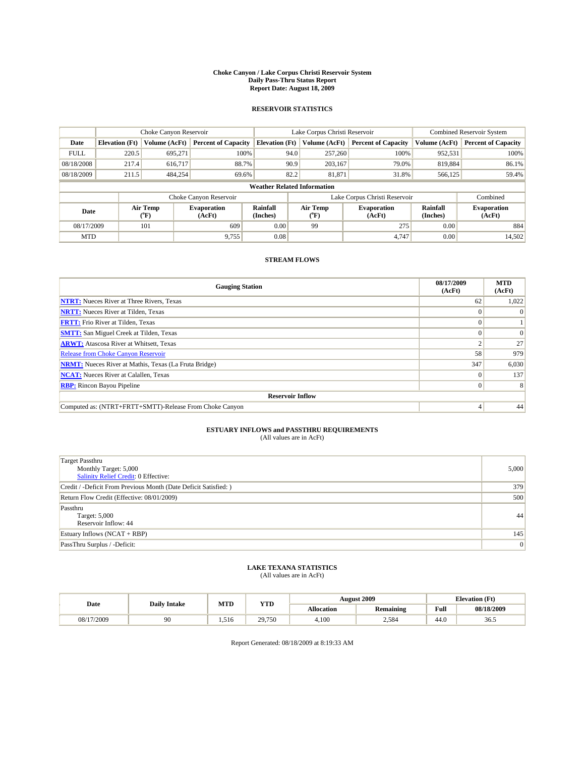#### **Choke Canyon / Lake Corpus Christi Reservoir System Daily Pass-Thru Status Report Report Date: August 18, 2009**

## **RESERVOIR STATISTICS**

|             | Choke Canyon Reservoir             |                                |                              |                             | Lake Corpus Christi Reservoir | <b>Combined Reservoir System</b> |                      |                              |  |
|-------------|------------------------------------|--------------------------------|------------------------------|-----------------------------|-------------------------------|----------------------------------|----------------------|------------------------------|--|
| Date        | <b>Elevation</b> (Ft)              | Volume (AcFt)                  | <b>Percent of Capacity</b>   | <b>Elevation</b> (Ft)       | Volume (AcFt)                 | <b>Percent of Capacity</b>       | Volume (AcFt)        | <b>Percent of Capacity</b>   |  |
| <b>FULL</b> | 220.5                              | 695,271                        | 100%                         | 94.0                        | 257,260                       | 100%                             | 952,531              | 100%                         |  |
| 08/18/2008  | 217.4                              | 616.717                        | 88.7%                        | 90.9                        | 203.167                       | 79.0%                            | 819.884              | 86.1%                        |  |
| 08/18/2009  | 211.5                              | 484,254                        | 69.6%                        | 82.2                        | 81,871                        | 31.8%                            | 566,125              | 59.4%                        |  |
|             | <b>Weather Related Information</b> |                                |                              |                             |                               |                                  |                      |                              |  |
|             |                                    |                                | Choke Canyon Reservoir       |                             |                               | Lake Corpus Christi Reservoir    |                      | Combined                     |  |
| Date        |                                    | Air Temp<br>$({}^o\mathrm{F})$ | <b>Evaporation</b><br>(AcFt) | <b>Rainfall</b><br>(Inches) | Air Temp<br>(°F)              | <b>Evaporation</b><br>(AcFt)     | Rainfall<br>(Inches) | <b>Evaporation</b><br>(AcFt) |  |
| 08/17/2009  |                                    | 101                            | 609                          | 0.00                        | 99                            | 275                              | 0.00                 | 884                          |  |
| <b>MTD</b>  |                                    |                                | 9,755                        | 0.08                        |                               | 4.747                            | 0.00                 | 14,502                       |  |

## **STREAM FLOWS**

| <b>Gauging Station</b>                                       | 08/17/2009<br>(AcFt) | <b>MTD</b><br>(AcFt) |  |  |  |  |  |
|--------------------------------------------------------------|----------------------|----------------------|--|--|--|--|--|
| <b>NTRT:</b> Nueces River at Three Rivers, Texas             | 62                   | 1,022                |  |  |  |  |  |
| <b>NRTT:</b> Nueces River at Tilden, Texas                   |                      |                      |  |  |  |  |  |
| <b>FRTT:</b> Frio River at Tilden, Texas                     |                      |                      |  |  |  |  |  |
| <b>SMTT:</b> San Miguel Creek at Tilden, Texas               |                      | $\Omega$             |  |  |  |  |  |
| <b>ARWT:</b> Atascosa River at Whitsett, Texas               |                      | 27                   |  |  |  |  |  |
| <b>Release from Choke Canyon Reservoir</b>                   | 58                   | 979                  |  |  |  |  |  |
| <b>NRMT:</b> Nueces River at Mathis, Texas (La Fruta Bridge) | 347                  | 6,030                |  |  |  |  |  |
| <b>NCAT:</b> Nueces River at Calallen, Texas                 | $\Omega$             | 137                  |  |  |  |  |  |
| <b>RBP:</b> Rincon Bayou Pipeline                            | $\overline{0}$       | 8                    |  |  |  |  |  |
| <b>Reservoir Inflow</b>                                      |                      |                      |  |  |  |  |  |
| Computed as: (NTRT+FRTT+SMTT)-Release From Choke Canyon      |                      | 44                   |  |  |  |  |  |

# **ESTUARY INFLOWS and PASSTHRU REQUIREMENTS**<br>(All values are in AcFt)

| <b>Target Passthru</b><br>Monthly Target: 5,000<br><b>Salinity Relief Credit: 0 Effective:</b> | 5,000 |
|------------------------------------------------------------------------------------------------|-------|
| Credit / -Deficit From Previous Month (Date Deficit Satisfied: )                               | 379   |
| Return Flow Credit (Effective: 08/01/2009)                                                     | 500   |
| Passthru<br>Target: 5,000<br>Reservoir Inflow: 44                                              | 44    |
| Estuary Inflows $(NCAT + RBP)$                                                                 | 145   |
| PassThru Surplus / -Deficit:                                                                   | 0     |

# **LAKE TEXANA STATISTICS** (All values are in AcFt)

|            | <b>Daily Intake</b> | MTD   | <b>YTD</b> |                   | <b>August 2009</b> | <b>Elevation</b> (Ft)                       |            |
|------------|---------------------|-------|------------|-------------------|--------------------|---------------------------------------------|------------|
| Date       |                     |       |            | <b>Allocation</b> | <b>Remaining</b>   | Full<br>the contract of the contract of the | 08/18/2009 |
| 08/17/2009 | 90                  | 1.516 | 29,750     | 4.100             | 2,584              | 44.0                                        | 36.5       |

Report Generated: 08/18/2009 at 8:19:33 AM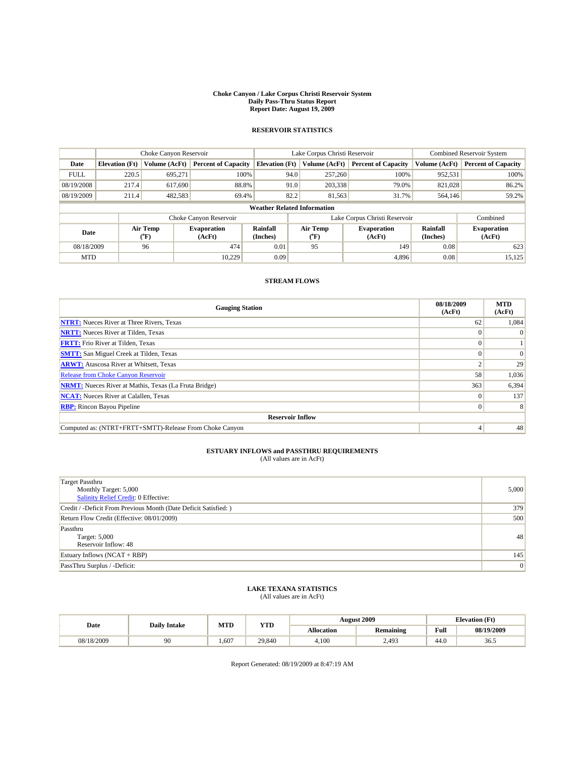#### **Choke Canyon / Lake Corpus Christi Reservoir System Daily Pass-Thru Status Report Report Date: August 19, 2009**

## **RESERVOIR STATISTICS**

|                                    | Choke Canyon Reservoir |                  | Lake Corpus Christi Reservoir |                       |      |                                  | <b>Combined Reservoir System</b> |                      |                              |
|------------------------------------|------------------------|------------------|-------------------------------|-----------------------|------|----------------------------------|----------------------------------|----------------------|------------------------------|
| Date                               | <b>Elevation (Ft)</b>  | Volume (AcFt)    | <b>Percent of Capacity</b>    | <b>Elevation</b> (Ft) |      | Volume (AcFt)                    | <b>Percent of Capacity</b>       | Volume (AcFt)        | <b>Percent of Capacity</b>   |
| <b>FULL</b>                        | 220.5                  | 695.271          | 100%                          |                       | 94.0 | 257,260                          | 100%                             | 952,531              | 100%                         |
| 08/19/2008                         | 217.4                  | 617,690          | 88.8%                         |                       | 91.0 | 203,338                          | 79.0%                            | 821.028              | 86.2%                        |
| 08/19/2009                         | 211.4                  | 482,583          | 69.4%                         |                       | 82.2 | 81,563                           | 31.7%                            | 564,146              | 59.2%                        |
| <b>Weather Related Information</b> |                        |                  |                               |                       |      |                                  |                                  |                      |                              |
|                                    |                        |                  | Choke Canyon Reservoir        |                       |      |                                  | Lake Corpus Christi Reservoir    |                      | Combined                     |
| Date                               |                        | Air Temp<br>(°F) | <b>Evaporation</b><br>(AcFt)  | Rainfall<br>(Inches)  |      | <b>Air Temp</b><br>$(^{\circ}F)$ | <b>Evaporation</b><br>(AcFt)     | Rainfall<br>(Inches) | <b>Evaporation</b><br>(AcFt) |
| 08/18/2009                         |                        | 96               | 474                           | 0.01                  |      | 95                               | 149                              | 0.08                 | 623                          |
| <b>MTD</b>                         |                        |                  | 10,229                        | 0.09                  |      |                                  | 4,896                            | 0.08                 | 15,125                       |

## **STREAM FLOWS**

| <b>Gauging Station</b>                                       | 08/18/2009<br>(AcFt) | <b>MTD</b><br>(AcFt) |  |  |  |
|--------------------------------------------------------------|----------------------|----------------------|--|--|--|
| <b>NTRT:</b> Nueces River at Three Rivers, Texas             | 62                   | 1,084                |  |  |  |
| <b>NRTT:</b> Nueces River at Tilden, Texas                   |                      | $\Omega$             |  |  |  |
| <b>FRTT:</b> Frio River at Tilden, Texas                     |                      |                      |  |  |  |
| <b>SMTT:</b> San Miguel Creek at Tilden, Texas               |                      | $\Omega$             |  |  |  |
| <b>ARWT:</b> Atascosa River at Whitsett, Texas               |                      | 29                   |  |  |  |
| <b>Release from Choke Canyon Reservoir</b>                   | 58                   | 1,036                |  |  |  |
| <b>NRMT:</b> Nueces River at Mathis, Texas (La Fruta Bridge) | 363                  | 6,394                |  |  |  |
| <b>NCAT:</b> Nueces River at Calallen, Texas                 |                      | 137                  |  |  |  |
| <b>RBP:</b> Rincon Bayou Pipeline                            | $\Omega$             | 8                    |  |  |  |
| <b>Reservoir Inflow</b>                                      |                      |                      |  |  |  |
| Computed as: (NTRT+FRTT+SMTT)-Release From Choke Canyon      |                      | 48                   |  |  |  |

## **ESTUARY INFLOWS and PASSTHRU REQUIREMENTS**<br>(All values are in AcFt)

| <b>Target Passthru</b><br>Monthly Target: 5,000<br>Salinity Relief Credit: 0 Effective: | 5,000 |
|-----------------------------------------------------------------------------------------|-------|
| Credit / -Deficit From Previous Month (Date Deficit Satisfied: )                        | 379   |
| Return Flow Credit (Effective: 08/01/2009)                                              | 500   |
| Passthru<br>Target: 5,000<br>Reservoir Inflow: 48                                       | 48    |
| Estuary Inflows $(NCAT + RBP)$                                                          | 145   |
| PassThru Surplus / -Deficit:                                                            | 0     |

## **LAKE TEXANA STATISTICS** (All values are in AcFt)

| Date       | <b>Daily Intake</b> | MTD | VTT<br>1 I.D |            | <b>August 2009</b> | Elevation (Ft) |            |
|------------|---------------------|-----|--------------|------------|--------------------|----------------|------------|
|            |                     |     |              | Allocation | <b>Remaining</b>   | Full           | 08/19/2009 |
| 08/18/2009 | 90                  | 607 | 29.840       | 4.100      | 2.493              | 44.0           | 36.5       |

Report Generated: 08/19/2009 at 8:47:19 AM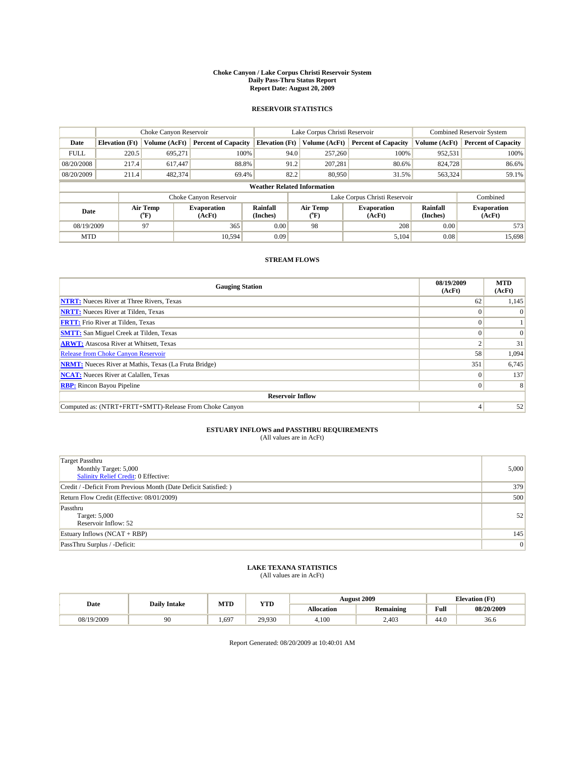#### **Choke Canyon / Lake Corpus Christi Reservoir System Daily Pass-Thru Status Report Report Date: August 20, 2009**

## **RESERVOIR STATISTICS**

|             | Choke Canyon Reservoir             |                                           |                              |                             | Lake Corpus Christi Reservoir  | <b>Combined Reservoir System</b> |                      |                              |  |  |
|-------------|------------------------------------|-------------------------------------------|------------------------------|-----------------------------|--------------------------------|----------------------------------|----------------------|------------------------------|--|--|
| Date        | <b>Elevation</b> (Ft)              | Volume (AcFt)                             | <b>Percent of Capacity</b>   | <b>Elevation</b> (Ft)       | Volume (AcFt)                  | <b>Percent of Capacity</b>       | Volume (AcFt)        | <b>Percent of Capacity</b>   |  |  |
| <b>FULL</b> | 220.5                              | 695,271                                   | 100%                         | 94.0                        | 257,260                        | 100%                             | 952,531              | 100%                         |  |  |
| 08/20/2008  | 217.4                              | 617,447                                   | 88.8%                        | 91.2                        | 207.281                        | 80.6%                            | 824,728              | 86.6%                        |  |  |
| 08/20/2009  | 211.4                              | 482,374                                   | 69.4%                        | 82.2                        | 80,950                         | 31.5%                            | 563,324              | 59.1%                        |  |  |
|             | <b>Weather Related Information</b> |                                           |                              |                             |                                |                                  |                      |                              |  |  |
|             |                                    |                                           | Choke Canyon Reservoir       |                             |                                | Lake Corpus Christi Reservoir    |                      | Combined                     |  |  |
| Date        |                                    | Air Temp<br>$({}^{\mathrm{o}}\mathrm{F})$ | <b>Evaporation</b><br>(AcFt) | <b>Rainfall</b><br>(Inches) | Air Temp<br>$({}^o\mathrm{F})$ | <b>Evaporation</b><br>(AcFt)     | Rainfall<br>(Inches) | <b>Evaporation</b><br>(AcFt) |  |  |
| 08/19/2009  |                                    | 97                                        | 365                          | 0.00                        | 98                             | 208                              | 0.00                 | 573                          |  |  |
| <b>MTD</b>  |                                    |                                           | 10.594                       | 0.09                        |                                | 5,104                            | 0.08                 | 15.698                       |  |  |

## **STREAM FLOWS**

| <b>Gauging Station</b>                                       | 08/19/2009<br>(AcFt) | <b>MTD</b><br>(AcFt) |  |  |  |  |
|--------------------------------------------------------------|----------------------|----------------------|--|--|--|--|
| <b>NTRT:</b> Nueces River at Three Rivers, Texas             | 62                   | 1,145                |  |  |  |  |
| <b>NRTT:</b> Nueces River at Tilden, Texas                   |                      | $\Omega$             |  |  |  |  |
| <b>FRTT:</b> Frio River at Tilden, Texas                     |                      |                      |  |  |  |  |
| <b>SMTT:</b> San Miguel Creek at Tilden, Texas               |                      | $\Omega$             |  |  |  |  |
| <b>ARWT:</b> Atascosa River at Whitsett, Texas               |                      | 31                   |  |  |  |  |
| <b>Release from Choke Canyon Reservoir</b>                   | 58                   | 1,094                |  |  |  |  |
| <b>NRMT:</b> Nueces River at Mathis, Texas (La Fruta Bridge) | 351                  | 6,745                |  |  |  |  |
| <b>NCAT:</b> Nueces River at Calallen, Texas                 |                      | 137                  |  |  |  |  |
| <b>RBP:</b> Rincon Bayou Pipeline                            | $\Omega$             | 8                    |  |  |  |  |
| <b>Reservoir Inflow</b>                                      |                      |                      |  |  |  |  |
| Computed as: (NTRT+FRTT+SMTT)-Release From Choke Canyon      |                      | 52                   |  |  |  |  |

# **ESTUARY INFLOWS and PASSTHRU REQUIREMENTS**<br>(All values are in AcFt)

| <b>Target Passthru</b><br>Monthly Target: 5,000<br>Salinity Relief Credit: 0 Effective: | 5,000 |
|-----------------------------------------------------------------------------------------|-------|
| Credit / -Deficit From Previous Month (Date Deficit Satisfied: )                        | 379   |
| Return Flow Credit (Effective: 08/01/2009)                                              | 500   |
| Passthru<br>Target: 5,000<br>Reservoir Inflow: 52                                       | 52    |
| Estuary Inflows $(NCAT + RBP)$                                                          | 145   |
| PassThru Surplus / -Deficit:                                                            | 0     |

# **LAKE TEXANA STATISTICS** (All values are in AcFt)

| Date       | <b>Daily Intake</b> | MTD | <b>YTD</b> |                   | <b>August 2009</b> | <b>Elevation</b> (Ft) |            |
|------------|---------------------|-----|------------|-------------------|--------------------|-----------------------|------------|
|            |                     |     |            | <b>Allocation</b> | <b>Remaining</b>   | Full                  | 08/20/2009 |
| 08/19/2009 | 90                  | 697 | 29,930     | 4.100             | 2,403              | 44.0                  | 36.6       |

Report Generated: 08/20/2009 at 10:40:01 AM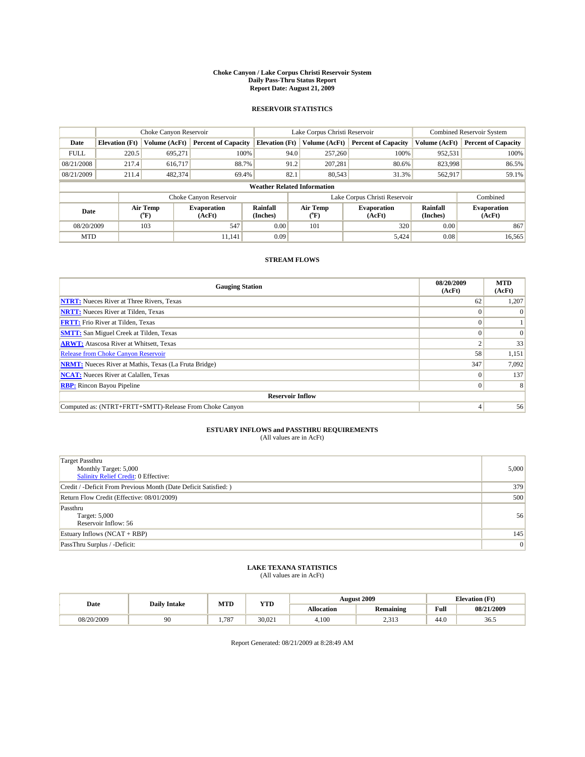#### **Choke Canyon / Lake Corpus Christi Reservoir System Daily Pass-Thru Status Report Report Date: August 21, 2009**

## **RESERVOIR STATISTICS**

|             |                                    | Choke Canyon Reservoir |                              |                       | Lake Corpus Christi Reservoir | <b>Combined Reservoir System</b> |                      |                              |  |  |
|-------------|------------------------------------|------------------------|------------------------------|-----------------------|-------------------------------|----------------------------------|----------------------|------------------------------|--|--|
| Date        | <b>Elevation</b> (Ft)              | Volume (AcFt)          | <b>Percent of Capacity</b>   | <b>Elevation</b> (Ft) | Volume (AcFt)                 | <b>Percent of Capacity</b>       | Volume (AcFt)        | <b>Percent of Capacity</b>   |  |  |
| <b>FULL</b> | 220.5                              | 695,271                | 100%                         | 94.0                  | 257,260                       | 100%                             | 952,531              | 100%                         |  |  |
| 08/21/2008  | 217.4                              | 616,717                | 88.7%                        | 91.2                  | 207.281                       | 80.6%                            | 823,998              | 86.5%                        |  |  |
| 08/21/2009  | 211.4                              | 482,374                | 69.4%                        | 82.1                  | 80,543                        | 31.3%                            | 562,917              | 59.1%                        |  |  |
|             | <b>Weather Related Information</b> |                        |                              |                       |                               |                                  |                      |                              |  |  |
|             |                                    |                        | Choke Canyon Reservoir       |                       |                               | Lake Corpus Christi Reservoir    |                      | Combined                     |  |  |
| Date        |                                    | Air Temp<br>(°F)       | <b>Evaporation</b><br>(AcFt) | Rainfall<br>(Inches)  | Air Temp<br>("F)              | <b>Evaporation</b><br>(AcFt)     | Rainfall<br>(Inches) | <b>Evaporation</b><br>(AcFt) |  |  |
| 08/20/2009  |                                    | 103                    | 547                          | 0.00                  | 101                           | 320                              | 0.00                 | 867                          |  |  |
| <b>MTD</b>  |                                    |                        | 11.141                       | 0.09                  |                               | 5,424                            | 0.08                 | 16,565                       |  |  |

## **STREAM FLOWS**

| <b>Gauging Station</b>                                       | 08/20/2009<br>(AcFt) | <b>MTD</b><br>(AcFt) |  |  |  |  |
|--------------------------------------------------------------|----------------------|----------------------|--|--|--|--|
| <b>NTRT:</b> Nueces River at Three Rivers, Texas             | 62                   | 1,207                |  |  |  |  |
| <b>NRTT:</b> Nueces River at Tilden, Texas                   |                      |                      |  |  |  |  |
| <b>FRTT:</b> Frio River at Tilden, Texas                     |                      |                      |  |  |  |  |
| <b>SMTT:</b> San Miguel Creek at Tilden, Texas               |                      |                      |  |  |  |  |
| <b>ARWT:</b> Atascosa River at Whitsett, Texas               |                      | 33                   |  |  |  |  |
| Release from Choke Canyon Reservoir                          | 58                   | 1,151                |  |  |  |  |
| <b>NRMT:</b> Nueces River at Mathis, Texas (La Fruta Bridge) | 347                  | 7,092                |  |  |  |  |
| <b>NCAT:</b> Nueces River at Calallen, Texas                 |                      | 137                  |  |  |  |  |
| <b>RBP:</b> Rincon Bayou Pipeline                            | $\Omega$             | 8                    |  |  |  |  |
| <b>Reservoir Inflow</b>                                      |                      |                      |  |  |  |  |
| Computed as: (NTRT+FRTT+SMTT)-Release From Choke Canyon      |                      | 56                   |  |  |  |  |

# **ESTUARY INFLOWS and PASSTHRU REQUIREMENTS**<br>(All values are in AcFt)

| <b>Target Passthru</b><br>Monthly Target: 5,000<br><b>Salinity Relief Credit: 0 Effective:</b> | 5,000 |
|------------------------------------------------------------------------------------------------|-------|
| Credit / -Deficit From Previous Month (Date Deficit Satisfied: )                               | 379   |
| Return Flow Credit (Effective: 08/01/2009)                                                     | 500   |
| Passthru<br>Target: 5,000<br>Reservoir Inflow: 56                                              | 56    |
| Estuary Inflows $(NCAT + RBP)$                                                                 | 145   |
| PassThru Surplus / -Deficit:                                                                   | 0     |

## **LAKE TEXANA STATISTICS** (All values are in AcFt)

| Date       | <b>Daily Intake</b> | MTD  | <b>YTD</b> |                   | <b>August 2009</b> | <b>Elevation</b> (Ft) |            |
|------------|---------------------|------|------------|-------------------|--------------------|-----------------------|------------|
|            |                     |      |            | <b>Allocation</b> | <b>Remaining</b>   | Full                  | 08/21/2009 |
| 08/20/2009 | 90                  | .787 | 30.021     | 4.100             | .212<br>ن 1 ف م س  | 44.0                  | 36.5       |

Report Generated: 08/21/2009 at 8:28:49 AM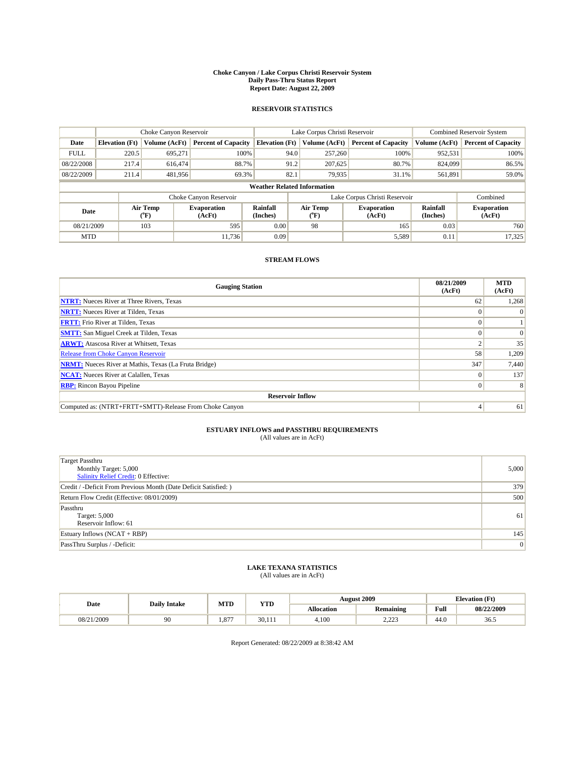#### **Choke Canyon / Lake Corpus Christi Reservoir System Daily Pass-Thru Status Report Report Date: August 22, 2009**

## **RESERVOIR STATISTICS**

|             | Choke Canyon Reservoir             |                                           |                              |                             | Lake Corpus Christi Reservoir | <b>Combined Reservoir System</b> |                      |                              |  |
|-------------|------------------------------------|-------------------------------------------|------------------------------|-----------------------------|-------------------------------|----------------------------------|----------------------|------------------------------|--|
| Date        | <b>Elevation</b> (Ft)              | Volume (AcFt)                             | <b>Percent of Capacity</b>   | <b>Elevation</b> (Ft)       | Volume (AcFt)                 | <b>Percent of Capacity</b>       | Volume (AcFt)        | <b>Percent of Capacity</b>   |  |
| <b>FULL</b> | 220.5                              | 695,271                                   | 100%                         | 94.0                        | 257,260                       | 100%                             | 952,531              | 100%                         |  |
| 08/22/2008  | 217.4                              | 616,474                                   | 88.7%                        | 91.2                        | 207,625                       | 80.7%                            | 824,099              | 86.5%                        |  |
| 08/22/2009  | 211.4                              | 481,956                                   | 69.3%                        | 82.1                        | 79,935                        | 31.1%                            | 561,891              | 59.0%                        |  |
|             | <b>Weather Related Information</b> |                                           |                              |                             |                               |                                  |                      |                              |  |
|             |                                    |                                           | Choke Canyon Reservoir       |                             |                               | Lake Corpus Christi Reservoir    |                      | Combined                     |  |
| Date        |                                    | Air Temp<br>$({}^{\mathrm{o}}\mathrm{F})$ | <b>Evaporation</b><br>(AcFt) | <b>Rainfall</b><br>(Inches) | Air Temp<br>("F)              | <b>Evaporation</b><br>(AcFt)     | Rainfall<br>(Inches) | <b>Evaporation</b><br>(AcFt) |  |
| 08/21/2009  |                                    | 103                                       | 595                          | 0.00                        | 98                            | 165                              | 0.03                 | 760                          |  |
| <b>MTD</b>  |                                    |                                           | 11.736                       | 0.09                        |                               | 5,589                            | 0.11                 | 17,325                       |  |

## **STREAM FLOWS**

| <b>Gauging Station</b>                                       | 08/21/2009<br>(AcFt) | <b>MTD</b><br>(AcFt) |  |  |  |  |
|--------------------------------------------------------------|----------------------|----------------------|--|--|--|--|
| <b>NTRT:</b> Nueces River at Three Rivers, Texas             | 62                   | 1,268                |  |  |  |  |
| <b>NRTT:</b> Nueces River at Tilden, Texas                   |                      |                      |  |  |  |  |
| <b>FRTT:</b> Frio River at Tilden, Texas                     |                      |                      |  |  |  |  |
| <b>SMTT:</b> San Miguel Creek at Tilden, Texas               |                      | $\Omega$             |  |  |  |  |
| <b>ARWT:</b> Atascosa River at Whitsett, Texas               |                      | 35                   |  |  |  |  |
| Release from Choke Canyon Reservoir                          | 58                   | 1,209                |  |  |  |  |
| <b>NRMT:</b> Nueces River at Mathis, Texas (La Fruta Bridge) | 347                  | 7,440                |  |  |  |  |
| <b>NCAT:</b> Nueces River at Calallen, Texas                 |                      | 137                  |  |  |  |  |
| <b>RBP:</b> Rincon Bayou Pipeline                            | $\Omega$             | 8                    |  |  |  |  |
| <b>Reservoir Inflow</b>                                      |                      |                      |  |  |  |  |
| Computed as: (NTRT+FRTT+SMTT)-Release From Choke Canyon      | 4                    | 61                   |  |  |  |  |

# **ESTUARY INFLOWS and PASSTHRU REQUIREMENTS**<br>(All values are in AcFt)

| <b>Target Passthru</b><br>Monthly Target: 5,000<br><b>Salinity Relief Credit: 0 Effective:</b> | 5,000 |
|------------------------------------------------------------------------------------------------|-------|
| Credit / -Deficit From Previous Month (Date Deficit Satisfied: )                               | 379   |
| Return Flow Credit (Effective: 08/01/2009)                                                     | 500   |
| Passthru<br>Target: 5,000<br>Reservoir Inflow: 61                                              | 61    |
| Estuary Inflows $(NCAT + RBP)$                                                                 | 145   |
| PassThru Surplus / -Deficit:                                                                   | 0     |

## **LAKE TEXANA STATISTICS** (All values are in AcFt)

| Date       | <b>Daily Intake</b> | MTD                    | <b>YTD</b> |                   | <b>August 2009</b> | <b>Elevation</b> (Ft) |            |
|------------|---------------------|------------------------|------------|-------------------|--------------------|-----------------------|------------|
|            |                     |                        |            | <b>Allocation</b> | <b>Remaining</b>   | Full                  | 08/22/2009 |
| 08/21/2009 | 90                  | O <sub>7</sub><br>1.87 | 30.111     | 4.100             | ____               | 44.0                  | 36.5       |

Report Generated: 08/22/2009 at 8:38:42 AM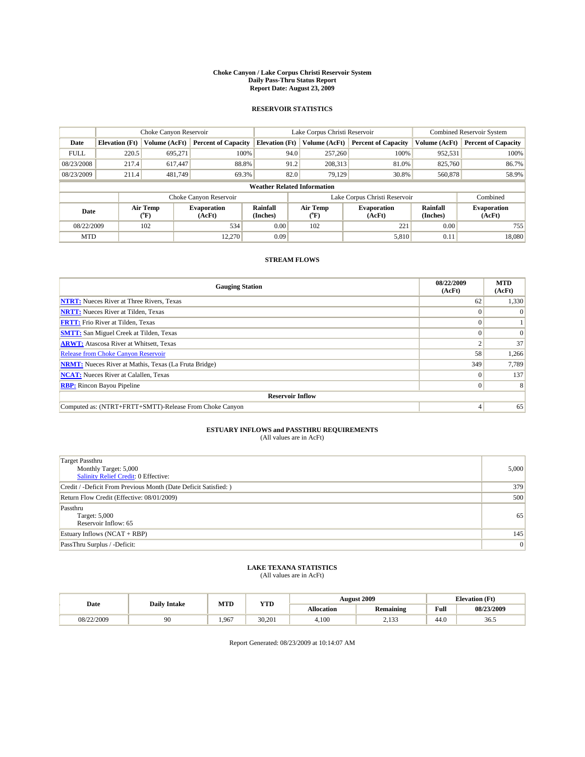#### **Choke Canyon / Lake Corpus Christi Reservoir System Daily Pass-Thru Status Report Report Date: August 23, 2009**

## **RESERVOIR STATISTICS**

|                                    | Choke Canyon Reservoir |                                           |                              |                             | Lake Corpus Christi Reservoir | <b>Combined Reservoir System</b> |                      |                              |
|------------------------------------|------------------------|-------------------------------------------|------------------------------|-----------------------------|-------------------------------|----------------------------------|----------------------|------------------------------|
| Date                               | <b>Elevation</b> (Ft)  | Volume (AcFt)                             | <b>Percent of Capacity</b>   | <b>Elevation</b> (Ft)       | Volume (AcFt)                 | <b>Percent of Capacity</b>       | Volume (AcFt)        | <b>Percent of Capacity</b>   |
| <b>FULL</b>                        | 220.5                  | 695,271                                   | 100%                         | 94.0                        | 257,260                       | 100%                             | 952,531              | 100%                         |
| 08/23/2008                         | 217.4                  | 617,447                                   | 88.8%                        | 91.2                        | 208,313                       | 81.0%                            | 825,760              | 86.7%                        |
| 08/23/2009                         | 211.4                  | 481,749                                   | 69.3%                        | 82.0                        | 79,129                        | 30.8%                            | 560,878              | 58.9%                        |
| <b>Weather Related Information</b> |                        |                                           |                              |                             |                               |                                  |                      |                              |
|                                    |                        |                                           | Choke Canyon Reservoir       |                             |                               | Lake Corpus Christi Reservoir    |                      | Combined                     |
| Date                               |                        | Air Temp<br>$({}^{\mathrm{o}}\mathrm{F})$ | <b>Evaporation</b><br>(AcFt) | <b>Rainfall</b><br>(Inches) | Air Temp<br>(°F)              | <b>Evaporation</b><br>(AcFt)     | Rainfall<br>(Inches) | <b>Evaporation</b><br>(AcFt) |
| 08/22/2009                         |                        | 102                                       | 534                          | 0.00                        | 102                           | 221                              | 0.00                 | 755                          |
| <b>MTD</b>                         |                        |                                           | 12.270                       | 0.09                        |                               | 5,810                            | 0.11                 | 18.080                       |

## **STREAM FLOWS**

| <b>Gauging Station</b>                                       | 08/22/2009<br>(AcFt) | <b>MTD</b><br>(AcFt) |  |  |  |  |  |
|--------------------------------------------------------------|----------------------|----------------------|--|--|--|--|--|
| <b>NTRT:</b> Nueces River at Three Rivers, Texas             | 62                   | 1,330                |  |  |  |  |  |
| <b>NRTT:</b> Nueces River at Tilden, Texas                   |                      |                      |  |  |  |  |  |
| <b>FRTT:</b> Frio River at Tilden, Texas                     |                      |                      |  |  |  |  |  |
| <b>SMTT:</b> San Miguel Creek at Tilden, Texas               |                      | $\Omega$             |  |  |  |  |  |
| <b>ARWT:</b> Atascosa River at Whitsett, Texas               |                      | 37                   |  |  |  |  |  |
| <b>Release from Choke Canyon Reservoir</b>                   | 58                   | 1,266                |  |  |  |  |  |
| <b>NRMT:</b> Nueces River at Mathis, Texas (La Fruta Bridge) | 349                  | 7,789                |  |  |  |  |  |
| <b>NCAT:</b> Nueces River at Calallen, Texas                 | $\Omega$             | 137                  |  |  |  |  |  |
| <b>RBP:</b> Rincon Bayou Pipeline<br>$\overline{0}$          |                      |                      |  |  |  |  |  |
| <b>Reservoir Inflow</b>                                      |                      |                      |  |  |  |  |  |
| Computed as: (NTRT+FRTT+SMTT)-Release From Choke Canyon      |                      | 65                   |  |  |  |  |  |

# **ESTUARY INFLOWS and PASSTHRU REQUIREMENTS**<br>(All values are in AcFt)

| <b>Target Passthru</b><br>Monthly Target: 5,000<br>Salinity Relief Credit: 0 Effective: | 5,000 |
|-----------------------------------------------------------------------------------------|-------|
| Credit / -Deficit From Previous Month (Date Deficit Satisfied: )                        | 379   |
| Return Flow Credit (Effective: 08/01/2009)                                              | 500   |
| Passthru<br>Target: 5,000<br>Reservoir Inflow: 65                                       | 65    |
| Estuary Inflows $(NCAT + RBP)$                                                          | 145   |
| PassThru Surplus / -Deficit:                                                            | 0     |

## **LAKE TEXANA STATISTICS** (All values are in AcFt)

|            | <b>Daily Intake</b> | MTD  | <b>YTD</b> |            | <b>August 2009</b> | <b>Elevation</b> (Ft)                       |            |
|------------|---------------------|------|------------|------------|--------------------|---------------------------------------------|------------|
| Date       |                     |      |            | Allocation | <b>Remaining</b>   | Full<br>the contract of the contract of the | 08/23/2009 |
| 08/22/2009 | 90                  | .967 | 30.201     | 4.100      | 122<br>ر د ۲۰۱     | 44.0                                        | 36.5       |

Report Generated: 08/23/2009 at 10:14:07 AM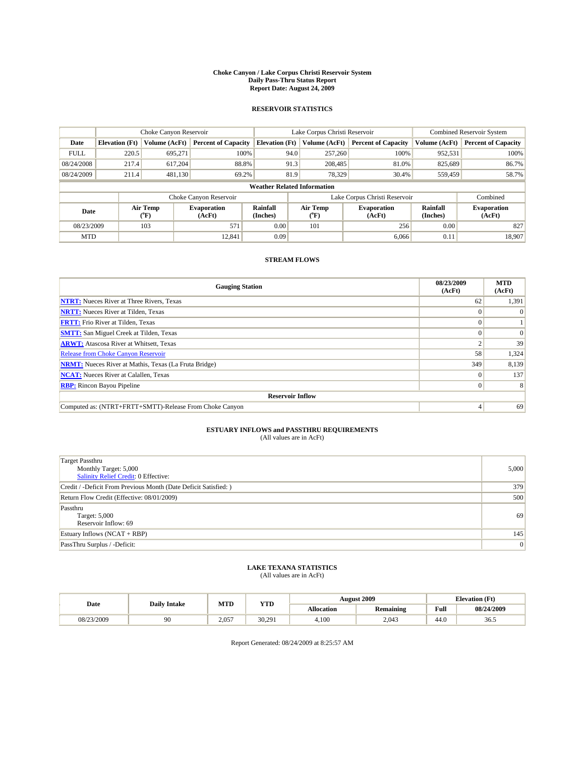#### **Choke Canyon / Lake Corpus Christi Reservoir System Daily Pass-Thru Status Report Report Date: August 24, 2009**

## **RESERVOIR STATISTICS**

|             | Choke Canyon Reservoir             |                                           |                              |                             | Lake Corpus Christi Reservoir           | <b>Combined Reservoir System</b> |                      |                              |  |
|-------------|------------------------------------|-------------------------------------------|------------------------------|-----------------------------|-----------------------------------------|----------------------------------|----------------------|------------------------------|--|
| Date        | <b>Elevation</b> (Ft)              | Volume (AcFt)                             | <b>Percent of Capacity</b>   | <b>Elevation</b> (Ft)       | Volume (AcFt)                           | <b>Percent of Capacity</b>       | Volume (AcFt)        | <b>Percent of Capacity</b>   |  |
| <b>FULL</b> | 220.5                              | 695,271                                   | 100%                         | 94.0                        | 257,260                                 | 100%                             | 952,531              | 100%                         |  |
| 08/24/2008  | 217.4                              | 617,204                                   | 88.8%                        | 91.3                        | 208,485                                 | 81.0%                            | 825,689              | 86.7%                        |  |
| 08/24/2009  | 211.4                              | 481,130                                   | 69.2%                        | 81.9                        | 78,329                                  | 30.4%                            | 559,459              | 58.7%                        |  |
|             | <b>Weather Related Information</b> |                                           |                              |                             |                                         |                                  |                      |                              |  |
|             |                                    |                                           | Choke Canyon Reservoir       |                             |                                         | Lake Corpus Christi Reservoir    |                      | Combined                     |  |
| Date        |                                    | Air Temp<br>$({}^{\mathrm{o}}\mathrm{F})$ | <b>Evaporation</b><br>(AcFt) | <b>Rainfall</b><br>(Inches) | Air Temp<br>$(^{\mathrm{o}}\mathrm{F})$ | <b>Evaporation</b><br>(AcFt)     | Rainfall<br>(Inches) | <b>Evaporation</b><br>(AcFt) |  |
| 08/23/2009  |                                    | 103                                       | 571                          | 0.00                        | 101                                     | 256                              | 0.00                 | 827                          |  |
| <b>MTD</b>  |                                    |                                           | 12.841                       | 0.09                        |                                         | 6.066                            | 0.11                 | 18.907                       |  |

## **STREAM FLOWS**

| <b>Gauging Station</b>                                       | 08/23/2009<br>(AcFt) | <b>MTD</b><br>(AcFt) |  |  |  |  |  |
|--------------------------------------------------------------|----------------------|----------------------|--|--|--|--|--|
| <b>NTRT:</b> Nueces River at Three Rivers, Texas             | 62                   | 1,391                |  |  |  |  |  |
| <b>NRTT:</b> Nueces River at Tilden, Texas                   |                      |                      |  |  |  |  |  |
| <b>FRTT:</b> Frio River at Tilden, Texas                     |                      |                      |  |  |  |  |  |
| <b>SMTT:</b> San Miguel Creek at Tilden, Texas               |                      | $\Omega$             |  |  |  |  |  |
| <b>ARWT:</b> Atascosa River at Whitsett, Texas               |                      | 39                   |  |  |  |  |  |
| <b>Release from Choke Canyon Reservoir</b>                   | 58                   | 1,324                |  |  |  |  |  |
| <b>NRMT:</b> Nueces River at Mathis, Texas (La Fruta Bridge) | 349                  | 8,139                |  |  |  |  |  |
| <b>NCAT:</b> Nueces River at Calallen, Texas                 | $\theta$             | 137                  |  |  |  |  |  |
| <b>RBP:</b> Rincon Bayou Pipeline                            | $\Omega$             | 8                    |  |  |  |  |  |
| <b>Reservoir Inflow</b>                                      |                      |                      |  |  |  |  |  |
| Computed as: (NTRT+FRTT+SMTT)-Release From Choke Canyon      |                      | 69                   |  |  |  |  |  |

# **ESTUARY INFLOWS and PASSTHRU REQUIREMENTS**<br>(All values are in AcFt)

| <b>Target Passthru</b><br>Monthly Target: 5,000<br>Salinity Relief Credit: 0 Effective: | 5,000 |
|-----------------------------------------------------------------------------------------|-------|
| Credit / -Deficit From Previous Month (Date Deficit Satisfied: )                        | 379   |
| Return Flow Credit (Effective: 08/01/2009)                                              | 500   |
| Passthru<br>Target: 5,000<br>Reservoir Inflow: 69                                       | 69    |
| Estuary Inflows $(NCAT + RBP)$                                                          | 145   |
| PassThru Surplus / -Deficit:                                                            | 0     |

# **LAKE TEXANA STATISTICS** (All values are in AcFt)

| Date       | <b>Daily Intake</b> | MTD   | <b>YTD</b> |                   | <b>August 2009</b> | <b>Elevation</b> (Ft) |            |
|------------|---------------------|-------|------------|-------------------|--------------------|-----------------------|------------|
|            |                     |       |            | <b>Allocation</b> | <b>Remaining</b>   | Full                  | 08/24/2009 |
| 08/23/2009 | 90                  | 2.057 | 30.291     | 4.100             | 2.043              | 44.0                  | 36.5       |

Report Generated: 08/24/2009 at 8:25:57 AM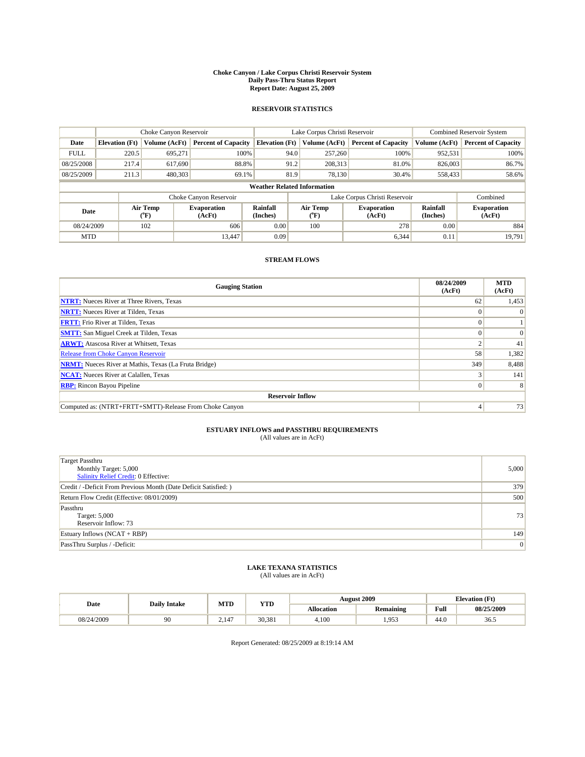#### **Choke Canyon / Lake Corpus Christi Reservoir System Daily Pass-Thru Status Report Report Date: August 25, 2009**

## **RESERVOIR STATISTICS**

|             | Choke Canyon Reservoir             |                                |                              |                             | Lake Corpus Christi Reservoir  | <b>Combined Reservoir System</b> |                      |                              |  |
|-------------|------------------------------------|--------------------------------|------------------------------|-----------------------------|--------------------------------|----------------------------------|----------------------|------------------------------|--|
| Date        | <b>Elevation</b> (Ft)              | Volume (AcFt)                  | <b>Percent of Capacity</b>   | <b>Elevation</b> (Ft)       | Volume (AcFt)                  | <b>Percent of Capacity</b>       | Volume (AcFt)        | <b>Percent of Capacity</b>   |  |
| <b>FULL</b> | 220.5                              | 695,271                        | 100%                         | 94.0                        | 257,260                        | 100%                             | 952,531              | 100%                         |  |
| 08/25/2008  | 217.4                              | 617,690                        | 88.8%                        | 91.2                        | 208,313                        | 81.0%                            | 826,003              | 86.7%                        |  |
| 08/25/2009  | 211.3                              | 480,303                        | 69.1%                        | 81.9                        | 78,130                         | 30.4%                            | 558,433              | 58.6%                        |  |
|             | <b>Weather Related Information</b> |                                |                              |                             |                                |                                  |                      |                              |  |
|             |                                    |                                | Choke Canyon Reservoir       |                             |                                | Lake Corpus Christi Reservoir    |                      | Combined                     |  |
| Date        |                                    | Air Temp<br>$({}^o\mathrm{F})$ | <b>Evaporation</b><br>(AcFt) | <b>Rainfall</b><br>(Inches) | Air Temp<br>$({}^o\mathrm{F})$ | <b>Evaporation</b><br>(AcFt)     | Rainfall<br>(Inches) | <b>Evaporation</b><br>(AcFt) |  |
| 08/24/2009  |                                    | 102                            | 606                          | 0.00                        | 100                            | 278                              | 0.00                 | 884                          |  |
| <b>MTD</b>  |                                    |                                | 13.447                       | 0.09                        |                                | 6,344                            | 0.11                 | 19.791                       |  |

## **STREAM FLOWS**

| <b>Gauging Station</b>                                       | 08/24/2009<br>(AcFt) | <b>MTD</b><br>(AcFt) |  |  |  |  |  |
|--------------------------------------------------------------|----------------------|----------------------|--|--|--|--|--|
| <b>NTRT:</b> Nueces River at Three Rivers, Texas             | 62                   | 1,453                |  |  |  |  |  |
| <b>NRTT:</b> Nueces River at Tilden, Texas                   |                      |                      |  |  |  |  |  |
| <b>FRTT:</b> Frio River at Tilden, Texas                     |                      |                      |  |  |  |  |  |
| <b>SMTT:</b> San Miguel Creek at Tilden, Texas               |                      | $\Omega$             |  |  |  |  |  |
| <b>ARWT:</b> Atascosa River at Whitsett, Texas               |                      | 41                   |  |  |  |  |  |
| <b>Release from Choke Canyon Reservoir</b>                   | 58                   | 1,382                |  |  |  |  |  |
| <b>NRMT:</b> Nueces River at Mathis, Texas (La Fruta Bridge) | 349                  | 8,488                |  |  |  |  |  |
| <b>NCAT:</b> Nueces River at Calallen, Texas                 |                      | 141                  |  |  |  |  |  |
| <b>RBP:</b> Rincon Bayou Pipeline                            | $\overline{0}$       | 8                    |  |  |  |  |  |
| <b>Reservoir Inflow</b>                                      |                      |                      |  |  |  |  |  |
| Computed as: (NTRT+FRTT+SMTT)-Release From Choke Canyon      |                      | 73                   |  |  |  |  |  |

# **ESTUARY INFLOWS and PASSTHRU REQUIREMENTS**<br>(All values are in AcFt)

| <b>Target Passthru</b><br>Monthly Target: 5,000<br><b>Salinity Relief Credit: 0 Effective:</b> | 5,000 |
|------------------------------------------------------------------------------------------------|-------|
| Credit / -Deficit From Previous Month (Date Deficit Satisfied: )                               | 379   |
| Return Flow Credit (Effective: 08/01/2009)                                                     | 500   |
| Passthru<br>Target: 5,000<br>Reservoir Inflow: 73                                              | 73    |
| Estuary Inflows $(NCAT + RBP)$                                                                 | 149   |
| PassThru Surplus / -Deficit:                                                                   | 0     |

# **LAKE TEXANA STATISTICS** (All values are in AcFt)

|            | <b>Daily Intake</b> | MTD   | <b>YTD</b> |            | <b>August 2009</b> | <b>Elevation</b> (Ft)                       |            |
|------------|---------------------|-------|------------|------------|--------------------|---------------------------------------------|------------|
| Date       |                     |       |            | Allocation | <b>Remaining</b>   | Full<br>the contract of the contract of the | 08/25/2009 |
| 08/24/2009 | 90                  | 2.147 | 30.381     | 4.100      | .953               | 44.0                                        | 36.5       |

Report Generated: 08/25/2009 at 8:19:14 AM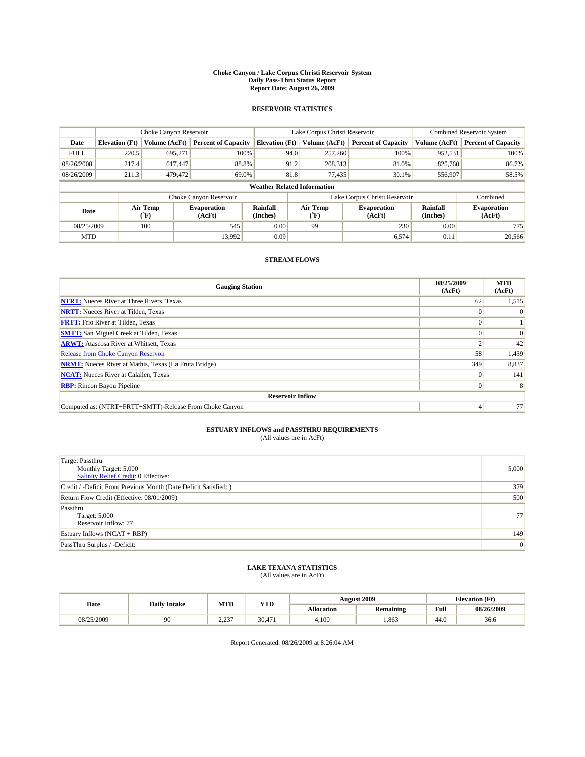#### **Choke Canyon / Lake Corpus Christi Reservoir System Daily Pass-Thru Status Report Report Date: August 26, 2009**

## **RESERVOIR STATISTICS**

|             | Choke Canyon Reservoir             |                                           |                              |                             | Lake Corpus Christi Reservoir | <b>Combined Reservoir System</b> |                      |                              |  |
|-------------|------------------------------------|-------------------------------------------|------------------------------|-----------------------------|-------------------------------|----------------------------------|----------------------|------------------------------|--|
| Date        | <b>Elevation</b> (Ft)              | Volume (AcFt)                             | <b>Percent of Capacity</b>   | <b>Elevation</b> (Ft)       | Volume (AcFt)                 | <b>Percent of Capacity</b>       | Volume (AcFt)        | <b>Percent of Capacity</b>   |  |
| <b>FULL</b> | 220.5                              | 695,271                                   | 100%                         | 94.0                        | 257,260                       | 100%                             | 952,531              | 100%                         |  |
| 08/26/2008  | 217.4                              | 617,447                                   | 88.8%                        | 91.2                        | 208,313                       | 81.0%                            | 825,760              | 86.7%                        |  |
| 08/26/2009  | 211.3                              | 479,472                                   | 69.0%                        | 81.8                        | 77.435                        | 30.1%                            | 556,907              | 58.5%                        |  |
|             | <b>Weather Related Information</b> |                                           |                              |                             |                               |                                  |                      |                              |  |
|             |                                    |                                           | Choke Canyon Reservoir       |                             |                               | Lake Corpus Christi Reservoir    |                      | Combined                     |  |
| Date        |                                    | Air Temp<br>$({}^{\mathrm{o}}\mathrm{F})$ | <b>Evaporation</b><br>(AcFt) | <b>Rainfall</b><br>(Inches) | Air Temp<br>("F)              | <b>Evaporation</b><br>(AcFt)     | Rainfall<br>(Inches) | <b>Evaporation</b><br>(AcFt) |  |
| 08/25/2009  |                                    | 100                                       | 545                          | 0.00                        | 99                            | 230                              | 0.00                 | 775                          |  |
| <b>MTD</b>  |                                    |                                           | 13.992                       | 0.09                        |                               | 6,574                            | 0.11                 | 20,566                       |  |

## **STREAM FLOWS**

| <b>Gauging Station</b>                                       | 08/25/2009<br>(AcFt) | <b>MTD</b><br>(AcFt) |  |  |  |  |
|--------------------------------------------------------------|----------------------|----------------------|--|--|--|--|
| <b>NTRT:</b> Nueces River at Three Rivers, Texas             | 62                   | 1,515                |  |  |  |  |
| <b>NRTT:</b> Nueces River at Tilden, Texas                   |                      |                      |  |  |  |  |
| <b>FRTT:</b> Frio River at Tilden, Texas                     |                      |                      |  |  |  |  |
| <b>SMTT:</b> San Miguel Creek at Tilden, Texas               |                      |                      |  |  |  |  |
| <b>ARWT:</b> Atascosa River at Whitsett, Texas               |                      | 42                   |  |  |  |  |
| Release from Choke Canyon Reservoir                          | 58                   | 1,439                |  |  |  |  |
| <b>NRMT:</b> Nueces River at Mathis, Texas (La Fruta Bridge) | 349                  | 8,837                |  |  |  |  |
| <b>NCAT:</b> Nueces River at Calallen, Texas                 | $\Omega$             | 141                  |  |  |  |  |
| <b>RBP:</b> Rincon Bayou Pipeline                            | $\Omega$             | 8                    |  |  |  |  |
| <b>Reservoir Inflow</b>                                      |                      |                      |  |  |  |  |
| Computed as: (NTRT+FRTT+SMTT)-Release From Choke Canyon      |                      | 77                   |  |  |  |  |

# **ESTUARY INFLOWS and PASSTHRU REQUIREMENTS**<br>(All values are in AcFt)

| <b>Target Passthru</b><br>Monthly Target: 5,000<br>Salinity Relief Credit: 0 Effective: | 5,000 |
|-----------------------------------------------------------------------------------------|-------|
| Credit / -Deficit From Previous Month (Date Deficit Satisfied: )                        | 379   |
| Return Flow Credit (Effective: 08/01/2009)                                              | 500   |
| Passthru<br>Target: 5,000<br>Reservoir Inflow: 77                                       | 77    |
| Estuary Inflows $(NCAT + RBP)$                                                          | 149   |
| PassThru Surplus / -Deficit:                                                            | 0     |

## **LAKE TEXANA STATISTICS** (All values are in AcFt)

|            | <b>Daily Intake</b> | MTD                 | <b>YTD</b> |            | <b>August 2009</b> | <b>Elevation</b> (Ft)                       |            |
|------------|---------------------|---------------------|------------|------------|--------------------|---------------------------------------------|------------|
| Date       |                     |                     |            | Allocation | <b>Remaining</b>   | Full<br>the contract of the contract of the | 08/26/2009 |
| 08/25/2009 | 90                  | 0.227<br><u>___</u> | 30.471     | 4.100      | .863               | 44.0                                        | 36.6       |

Report Generated: 08/26/2009 at 8:26:04 AM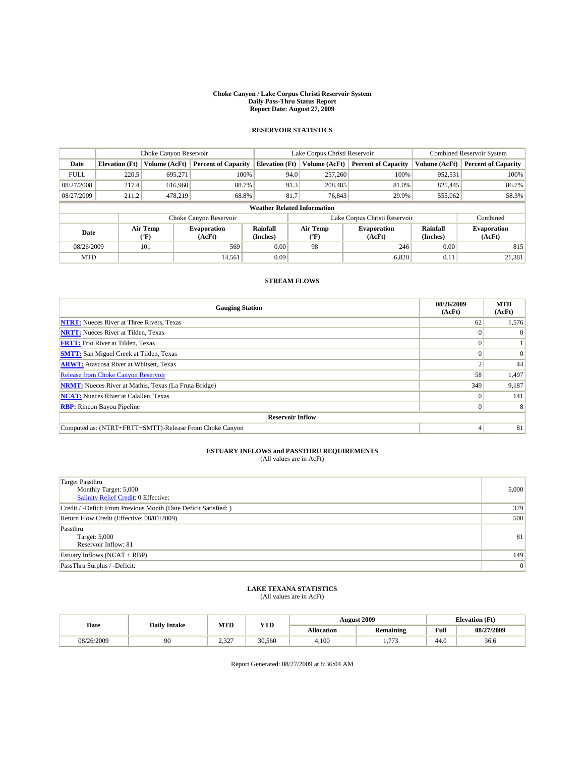#### **Choke Canyon / Lake Corpus Christi Reservoir System Daily Pass-Thru Status Report Report Date: August 27, 2009**

## **RESERVOIR STATISTICS**

|                                    | Choke Canyon Reservoir |                  |                              |                       | Lake Corpus Christi Reservoir |                                         |                               |                      | Combined Reservoir System    |  |
|------------------------------------|------------------------|------------------|------------------------------|-----------------------|-------------------------------|-----------------------------------------|-------------------------------|----------------------|------------------------------|--|
| Date                               | <b>Elevation</b> (Ft)  | Volume (AcFt)    | <b>Percent of Capacity</b>   | <b>Elevation</b> (Ft) |                               | Volume (AcFt)                           | <b>Percent of Capacity</b>    | Volume (AcFt)        | <b>Percent of Capacity</b>   |  |
| <b>FULL</b>                        | 220.5                  | 695.271          | 100%                         |                       | 94.0                          | 257,260                                 | 100%                          | 952,531              | 100%                         |  |
| 08/27/2008                         | 217.4                  | 616,960          | 88.7%                        |                       | 91.3                          | 208,485                                 | 81.0%                         | 825,445              | 86.7%                        |  |
| 08/27/2009                         | 211.2                  | 478,219          | 68.8%                        |                       | 81.7                          | 76,843                                  | 29.9%                         | 555,062              | 58.3%                        |  |
| <b>Weather Related Information</b> |                        |                  |                              |                       |                               |                                         |                               |                      |                              |  |
|                                    |                        |                  | Choke Canyon Reservoir       |                       |                               |                                         | Lake Corpus Christi Reservoir |                      | Combined                     |  |
| Date                               |                        | Air Temp<br>(°F) | <b>Evaporation</b><br>(AcFt) | Rainfall<br>(Inches)  |                               | Air Temp<br>$(^{\mathrm{o}}\mathrm{F})$ | <b>Evaporation</b><br>(AcFt)  | Rainfall<br>(Inches) | <b>Evaporation</b><br>(AcFt) |  |
| 08/26/2009                         |                        | 101              | 569                          | 0.00                  |                               | 98                                      | 246                           | 0.00                 | 815                          |  |
| <b>MTD</b>                         |                        |                  | 14,561                       | 0.09                  |                               |                                         | 6,820                         | 0.11                 | 21,381                       |  |

## **STREAM FLOWS**

| <b>Gauging Station</b>                                       | 08/26/2009<br>(AcFt) | <b>MTD</b><br>(AcFt) |  |  |  |  |
|--------------------------------------------------------------|----------------------|----------------------|--|--|--|--|
| <b>NTRT:</b> Nueces River at Three Rivers, Texas             | 62                   | 1,576                |  |  |  |  |
| <b>NRTT:</b> Nueces River at Tilden, Texas                   |                      | $\Omega$             |  |  |  |  |
| <b>FRTT:</b> Frio River at Tilden, Texas                     |                      |                      |  |  |  |  |
| <b>SMTT:</b> San Miguel Creek at Tilden, Texas               |                      | $\Omega$             |  |  |  |  |
| <b>ARWT:</b> Atascosa River at Whitsett, Texas               |                      | 44                   |  |  |  |  |
| <b>Release from Choke Canyon Reservoir</b>                   | 58                   | 1,497                |  |  |  |  |
| <b>NRMT:</b> Nueces River at Mathis, Texas (La Fruta Bridge) | 349                  | 9,187                |  |  |  |  |
| <b>NCAT:</b> Nueces River at Calallen, Texas                 |                      | 141                  |  |  |  |  |
| <b>RBP:</b> Rincon Bayou Pipeline                            | $\Omega$             | 8                    |  |  |  |  |
| <b>Reservoir Inflow</b>                                      |                      |                      |  |  |  |  |
| Computed as: (NTRT+FRTT+SMTT)-Release From Choke Canyon      |                      | 81                   |  |  |  |  |

## **ESTUARY INFLOWS and PASSTHRU REQUIREMENTS**<br>(All values are in AcFt)

| Target Passthru<br>Monthly Target: 5,000<br>Salinity Relief Credit: 0 Effective: | 5,000 |
|----------------------------------------------------------------------------------|-------|
| Credit / -Deficit From Previous Month (Date Deficit Satisfied: )                 | 379   |
| Return Flow Credit (Effective: 08/01/2009)                                       | 500   |
| Passthru<br>Target: 5,000<br>Reservoir Inflow: 81                                | 81    |
| Estuary Inflows (NCAT + RBP)                                                     | 149   |
| PassThru Surplus / -Deficit:                                                     | 0     |

## **LAKE TEXANA STATISTICS** (All values are in AcFt)

| Date       | <b>Daily Intake</b> | MTD             | VTT    | <b>August 2009</b> |                          | <b>Elevation</b> (Ft) |            |
|------------|---------------------|-----------------|--------|--------------------|--------------------------|-----------------------|------------|
|            |                     |                 | 1.LD   | Allocation         | Remaining                | Full                  | 08/27/2009 |
| 08/26/2009 | 90                  | ว ววว<br>. ے دے | 30,560 | 4,100              | 77 <sup>2</sup><br>1.112 | 44.0                  | 36.6       |

Report Generated: 08/27/2009 at 8:36:04 AM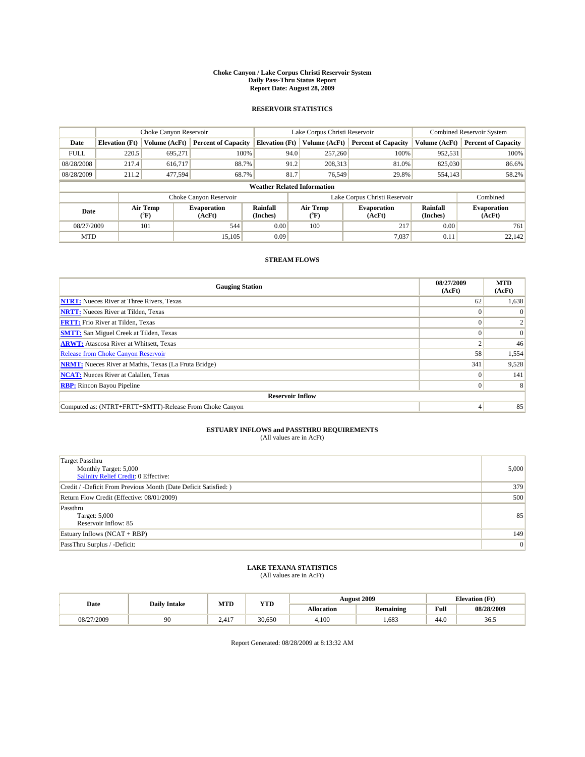#### **Choke Canyon / Lake Corpus Christi Reservoir System Daily Pass-Thru Status Report Report Date: August 28, 2009**

## **RESERVOIR STATISTICS**

|                                    | Choke Canyon Reservoir |                                           |                              |                             | Lake Corpus Christi Reservoir           | <b>Combined Reservoir System</b> |                      |                              |
|------------------------------------|------------------------|-------------------------------------------|------------------------------|-----------------------------|-----------------------------------------|----------------------------------|----------------------|------------------------------|
| Date                               | <b>Elevation</b> (Ft)  | Volume (AcFt)                             | <b>Percent of Capacity</b>   | <b>Elevation</b> (Ft)       | Volume (AcFt)                           | <b>Percent of Capacity</b>       | Volume (AcFt)        | <b>Percent of Capacity</b>   |
| <b>FULL</b>                        | 220.5                  | 695,271                                   | 100%                         | 94.0                        | 257,260                                 | 100%                             | 952,531              | 100%                         |
| 08/28/2008                         | 217.4                  | 616,717                                   | 88.7%                        | 91.2                        | 208,313                                 | 81.0%                            | 825,030              | 86.6%                        |
| 08/28/2009                         | 211.2                  | 477,594                                   | 68.7%                        | 81.7                        | 76,549                                  | 29.8%                            | 554,143              | 58.2%                        |
| <b>Weather Related Information</b> |                        |                                           |                              |                             |                                         |                                  |                      |                              |
|                                    |                        |                                           | Choke Canyon Reservoir       |                             |                                         | Lake Corpus Christi Reservoir    |                      | Combined                     |
| Date                               |                        | Air Temp<br>$({}^{\mathrm{o}}\mathrm{F})$ | <b>Evaporation</b><br>(AcFt) | <b>Rainfall</b><br>(Inches) | Air Temp<br>$(^{\mathrm{o}}\mathrm{F})$ | <b>Evaporation</b><br>(AcFt)     | Rainfall<br>(Inches) | <b>Evaporation</b><br>(AcFt) |
| 08/27/2009                         |                        | 101                                       | 544                          | 0.00                        | 100                                     | 217                              | 0.00                 | 761                          |
| <b>MTD</b>                         |                        |                                           | 15.105                       | 0.09                        |                                         | 7,037                            | 0.11                 | 22.142                       |

## **STREAM FLOWS**

| <b>Gauging Station</b>                                       | 08/27/2009<br>(AcFt) | <b>MTD</b><br>(AcFt) |  |  |  |  |  |
|--------------------------------------------------------------|----------------------|----------------------|--|--|--|--|--|
| <b>NTRT:</b> Nueces River at Three Rivers, Texas             | 62                   | 1,638                |  |  |  |  |  |
| <b>NRTT:</b> Nueces River at Tilden, Texas                   |                      |                      |  |  |  |  |  |
| <b>FRTT:</b> Frio River at Tilden, Texas                     |                      |                      |  |  |  |  |  |
| <b>SMTT:</b> San Miguel Creek at Tilden, Texas               |                      | $\Omega$             |  |  |  |  |  |
| <b>ARWT:</b> Atascosa River at Whitsett, Texas               |                      | 46                   |  |  |  |  |  |
| <b>Release from Choke Canyon Reservoir</b>                   | 58                   | 1,554                |  |  |  |  |  |
| <b>NRMT:</b> Nueces River at Mathis, Texas (La Fruta Bridge) | 341                  | 9,528                |  |  |  |  |  |
| <b>NCAT:</b> Nueces River at Calallen, Texas                 | $\Omega$             | 141                  |  |  |  |  |  |
| <b>RBP:</b> Rincon Bayou Pipeline                            | $\overline{0}$       | 8                    |  |  |  |  |  |
| <b>Reservoir Inflow</b>                                      |                      |                      |  |  |  |  |  |
| Computed as: (NTRT+FRTT+SMTT)-Release From Choke Canyon      |                      | 85                   |  |  |  |  |  |

# **ESTUARY INFLOWS and PASSTHRU REQUIREMENTS**<br>(All values are in AcFt)

| <b>Target Passthru</b><br>Monthly Target: 5,000<br><b>Salinity Relief Credit: 0 Effective:</b> | 5,000 |
|------------------------------------------------------------------------------------------------|-------|
| Credit / -Deficit From Previous Month (Date Deficit Satisfied: )                               | 379   |
| Return Flow Credit (Effective: 08/01/2009)                                                     | 500   |
| Passthru<br>Target: 5,000<br>Reservoir Inflow: 85                                              | 85    |
| Estuary Inflows $(NCAT + RBP)$                                                                 | 149   |
| PassThru Surplus / -Deficit:                                                                   | 0     |

## **LAKE TEXANA STATISTICS** (All values are in AcFt)

|            | <b>Daily Intake</b> | MTD   | <b>YTD</b> |            | <b>August 2009</b> | <b>Elevation</b> (Ft)                       |            |
|------------|---------------------|-------|------------|------------|--------------------|---------------------------------------------|------------|
| Date       |                     |       |            | Allocation | <b>Remaining</b>   | Full<br>the contract of the contract of the | 08/28/2009 |
| 08/27/2009 | 90                  | 2.417 | 30.650     | 4.100      | .683               | 44.0                                        | 36.5       |

Report Generated: 08/28/2009 at 8:13:32 AM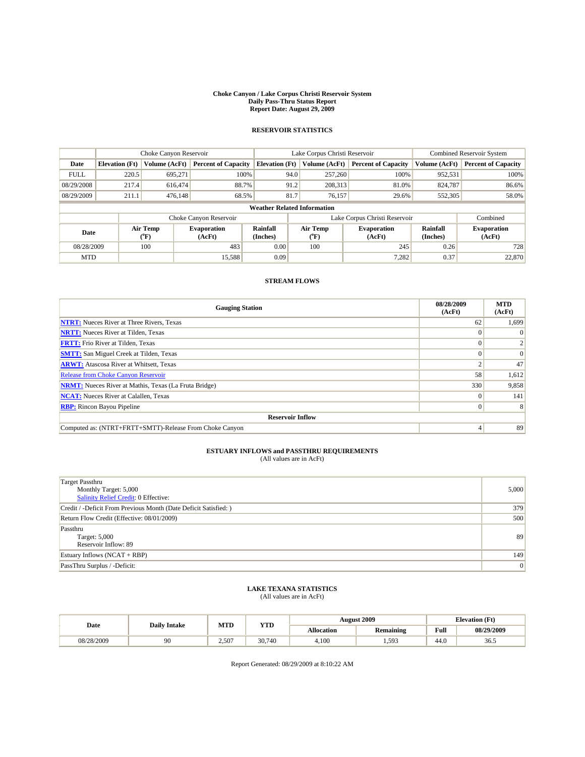#### **Choke Canyon / Lake Corpus Christi Reservoir System Daily Pass-Thru Status Report Report Date: August 29, 2009**

## **RESERVOIR STATISTICS**

|                                    | Choke Canyon Reservoir |                  |                              |                       | Lake Corpus Christi Reservoir    | <b>Combined Reservoir System</b> |                      |                              |
|------------------------------------|------------------------|------------------|------------------------------|-----------------------|----------------------------------|----------------------------------|----------------------|------------------------------|
| Date                               | <b>Elevation</b> (Ft)  | Volume (AcFt)    | <b>Percent of Capacity</b>   | <b>Elevation</b> (Ft) | Volume (AcFt)                    | <b>Percent of Capacity</b>       | Volume (AcFt)        | <b>Percent of Capacity</b>   |
| <b>FULL</b>                        | 220.5                  | 695.271          | 100%                         | 94.0                  | 257,260                          | 100%                             | 952,531              | 100%                         |
| 08/29/2008                         | 217.4                  | 616,474          | 88.7%                        | 91.2                  | 208,313                          | 81.0%                            | 824,787              | 86.6%                        |
| 08/29/2009                         | 211.1                  | 476,148          | 68.5%                        | 81.7                  | 76,157                           | 29.6%                            | 552,305              | 58.0%                        |
| <b>Weather Related Information</b> |                        |                  |                              |                       |                                  |                                  |                      |                              |
|                                    |                        |                  | Choke Canyon Reservoir       |                       |                                  | Lake Corpus Christi Reservoir    |                      | Combined                     |
| Date                               |                        | Air Temp<br>(°F) | <b>Evaporation</b><br>(AcFt) | Rainfall<br>(Inches)  | <b>Air Temp</b><br>$(^{\circ}F)$ | <b>Evaporation</b><br>(AcFt)     | Rainfall<br>(Inches) | <b>Evaporation</b><br>(AcFt) |
| 08/28/2009                         |                        | 100              | 483                          | 0.00                  | 100                              | 245                              | 0.26                 | 728                          |
| <b>MTD</b>                         |                        |                  | 15,588                       | 0.09                  |                                  | 7,282                            | 0.37                 | 22,870                       |

## **STREAM FLOWS**

| <b>Gauging Station</b>                                       | 08/28/2009<br>(AcFt) | <b>MTD</b><br>(AcFt) |  |  |  |  |  |
|--------------------------------------------------------------|----------------------|----------------------|--|--|--|--|--|
| <b>NTRT:</b> Nueces River at Three Rivers, Texas             | 62                   | 1,699                |  |  |  |  |  |
| <b>NRTT:</b> Nueces River at Tilden, Texas                   |                      | $\Omega$             |  |  |  |  |  |
| <b>FRTT:</b> Frio River at Tilden, Texas                     |                      |                      |  |  |  |  |  |
| <b>SMTT:</b> San Miguel Creek at Tilden, Texas               |                      | $\Omega$             |  |  |  |  |  |
| <b>ARWT:</b> Atascosa River at Whitsett, Texas               |                      | 47                   |  |  |  |  |  |
| <b>Release from Choke Canyon Reservoir</b>                   | 58                   | 1,612                |  |  |  |  |  |
| <b>NRMT:</b> Nueces River at Mathis, Texas (La Fruta Bridge) | 330                  | 9,858                |  |  |  |  |  |
| <b>NCAT:</b> Nueces River at Calallen, Texas                 |                      | 141                  |  |  |  |  |  |
| <b>RBP:</b> Rincon Bayou Pipeline                            | $\Omega$             | 8                    |  |  |  |  |  |
| <b>Reservoir Inflow</b>                                      |                      |                      |  |  |  |  |  |
| Computed as: (NTRT+FRTT+SMTT)-Release From Choke Canyon      |                      | 89                   |  |  |  |  |  |

## **ESTUARY INFLOWS and PASSTHRU REQUIREMENTS**<br>(All values are in AcFt)

| <b>Target Passthru</b><br>Monthly Target: 5,000<br>Salinity Relief Credit: 0 Effective: | 5,000 |
|-----------------------------------------------------------------------------------------|-------|
| Credit / -Deficit From Previous Month (Date Deficit Satisfied: )                        | 379   |
| Return Flow Credit (Effective: 08/01/2009)                                              | 500   |
| Passthru<br>Target: 5,000<br>Reservoir Inflow: 89                                       | 89    |
| Estuary Inflows $(NCAT + RBP)$                                                          | 149   |
| PassThru Surplus / -Deficit:                                                            | 0     |

# **LAKE TEXANA STATISTICS** (All values are in AcFt)

| Date       | <b>Daily Intake</b> | MTD   | <b>YTD</b> | August 2009       |                  | <b>Elevation</b> (Ft) |            |
|------------|---------------------|-------|------------|-------------------|------------------|-----------------------|------------|
|            |                     |       |            | <b>Allocation</b> | <b>Remaining</b> | Full                  | 08/29/2009 |
| 08/28/2009 | 90                  | 2,507 | 30,740     | 4.100             | 1,593            | 44.0                  | 36.5       |

Report Generated: 08/29/2009 at 8:10:22 AM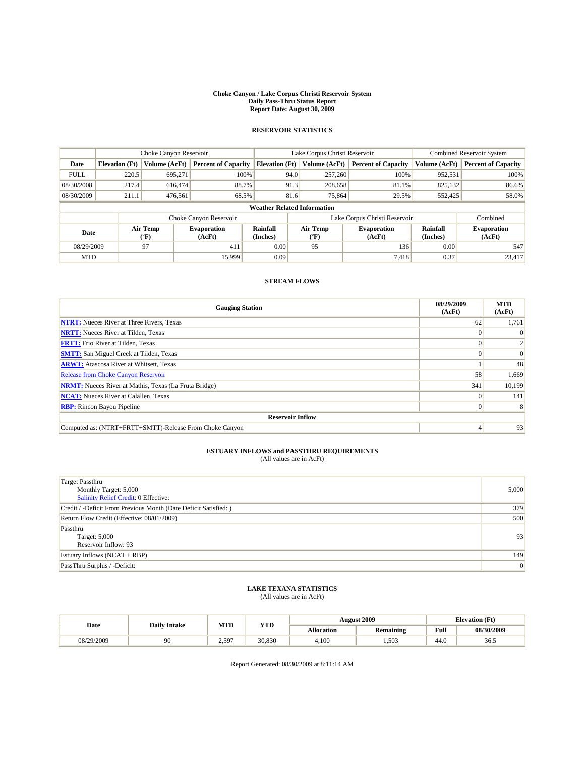#### **Choke Canyon / Lake Corpus Christi Reservoir System Daily Pass-Thru Status Report Report Date: August 30, 2009**

## **RESERVOIR STATISTICS**

|                                    | Choke Canyon Reservoir |                  |                              |                       | Lake Corpus Christi Reservoir    | <b>Combined Reservoir System</b> |                      |                              |
|------------------------------------|------------------------|------------------|------------------------------|-----------------------|----------------------------------|----------------------------------|----------------------|------------------------------|
| Date                               | <b>Elevation</b> (Ft)  | Volume (AcFt)    | <b>Percent of Capacity</b>   | <b>Elevation</b> (Ft) | Volume (AcFt)                    | <b>Percent of Capacity</b>       | Volume (AcFt)        | <b>Percent of Capacity</b>   |
| <b>FULL</b>                        | 220.5                  | 695.271          | 100%                         | 94.0                  | 257,260                          | 100%                             | 952,531              | 100%                         |
| 08/30/2008                         | 217.4                  | 616,474          | 88.7%                        | 91.3                  | 208,658                          | 81.1%                            | 825,132              | 86.6%                        |
| 08/30/2009                         | 211.1                  | 476,561          | 68.5%                        | 81.6                  | 75,864                           | 29.5%                            | 552,425              | 58.0%                        |
| <b>Weather Related Information</b> |                        |                  |                              |                       |                                  |                                  |                      |                              |
|                                    |                        |                  | Choke Canyon Reservoir       |                       |                                  | Lake Corpus Christi Reservoir    |                      | Combined                     |
| Date                               |                        | Air Temp<br>(°F) | <b>Evaporation</b><br>(AcFt) | Rainfall<br>(Inches)  | <b>Air Temp</b><br>$(^{\circ}F)$ | <b>Evaporation</b><br>(AcFt)     | Rainfall<br>(Inches) | <b>Evaporation</b><br>(AcFt) |
| 08/29/2009                         |                        | 97               | 411                          | 0.00                  | 95                               | 136                              | 0.00                 | 547                          |
| <b>MTD</b>                         |                        |                  | 15,999                       | 0.09                  |                                  | 7,418                            | 0.37                 | 23,417                       |

## **STREAM FLOWS**

| <b>Gauging Station</b>                                       | 08/29/2009<br>(AcFt) | <b>MTD</b><br>(AcFt) |  |  |  |  |  |
|--------------------------------------------------------------|----------------------|----------------------|--|--|--|--|--|
| <b>NTRT:</b> Nueces River at Three Rivers, Texas             | 62                   | 1,761                |  |  |  |  |  |
| <b>NRTT:</b> Nueces River at Tilden, Texas                   |                      | $\Omega$             |  |  |  |  |  |
| <b>FRTT:</b> Frio River at Tilden, Texas                     |                      |                      |  |  |  |  |  |
| <b>SMTT:</b> San Miguel Creek at Tilden, Texas               |                      | $\vert 0 \vert$      |  |  |  |  |  |
| <b>ARWT:</b> Atascosa River at Whitsett, Texas               |                      | 48                   |  |  |  |  |  |
| Release from Choke Canyon Reservoir                          | 58                   | 1,669                |  |  |  |  |  |
| <b>NRMT:</b> Nueces River at Mathis, Texas (La Fruta Bridge) | 341                  | 10,199               |  |  |  |  |  |
| <b>NCAT:</b> Nueces River at Calallen, Texas                 |                      | 141                  |  |  |  |  |  |
| <b>RBP:</b> Rincon Bayou Pipeline                            | $\Omega$             | 8                    |  |  |  |  |  |
| <b>Reservoir Inflow</b>                                      |                      |                      |  |  |  |  |  |
| Computed as: (NTRT+FRTT+SMTT)-Release From Choke Canyon      |                      | 93                   |  |  |  |  |  |

## **ESTUARY INFLOWS and PASSTHRU REQUIREMENTS**<br>(All values are in AcFt)

| Target Passthru<br>Monthly Target: 5,000<br>Salinity Relief Credit: 0 Effective: | 5,000 |
|----------------------------------------------------------------------------------|-------|
| Credit / -Deficit From Previous Month (Date Deficit Satisfied: )                 | 379   |
| Return Flow Credit (Effective: 08/01/2009)                                       | 500   |
| Passthru<br>Target: 5,000<br>Reservoir Inflow: 93                                | 93    |
| Estuary Inflows $(NCAT + RBP)$                                                   | 149   |
| PassThru Surplus / -Deficit:                                                     | 0     |

# **LAKE TEXANA STATISTICS** (All values are in AcFt)

| Date       | <b>Daily Intake</b> | MTD   | YTD    |            | <b>August 2009</b> | <b>Elevation</b> (Ft)                 |            |
|------------|---------------------|-------|--------|------------|--------------------|---------------------------------------|------------|
|            |                     |       |        | Allocation | <b>Remaining</b>   | Full                                  | 08/30/2009 |
| 08/29/2009 | <b>20</b>           | 2.597 | 30.830 | 4.100      | 1,503              | $\overline{A}$ $\overline{A}$<br>44.U | 36.5       |

Report Generated: 08/30/2009 at 8:11:14 AM